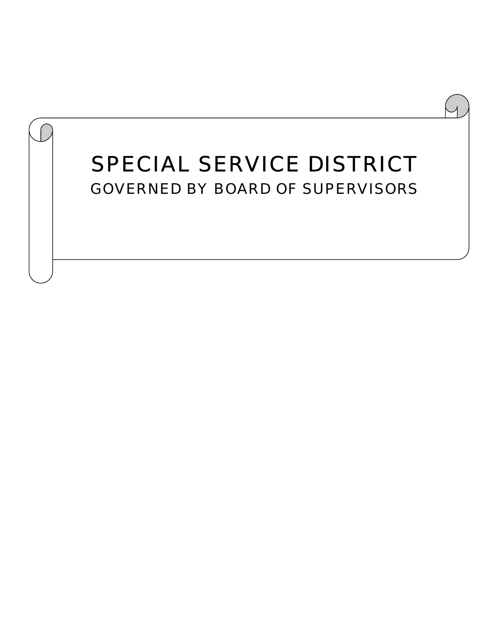# *SPECIAL SERVICE DISTRICT GOVERNED BY BOARD OF SUPERVISORS*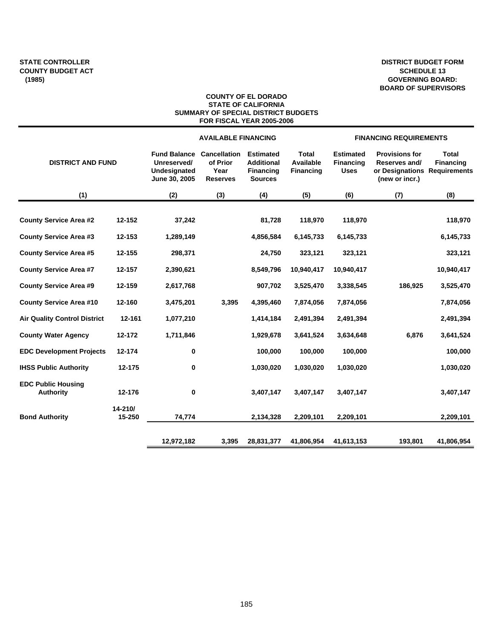### **DISTRICT BUDGET FORM SCHEDULE 13 GOVERNING BOARD: BOARD OF SUPERVISORS**

#### **COUNTY OF EL DORADO STATE OF CALIFORNIA SUMMARY OF SPECIAL DISTRICT BUDGETS FOR FISCAL YEAR 2005-2006**

|                                               |                   |                                                                     | <b>AVAILABLE FINANCING</b>                                 |                                                                             |                                        | <b>FINANCING REQUIREMENTS</b>                       |                                                                                          |                                  |  |
|-----------------------------------------------|-------------------|---------------------------------------------------------------------|------------------------------------------------------------|-----------------------------------------------------------------------------|----------------------------------------|-----------------------------------------------------|------------------------------------------------------------------------------------------|----------------------------------|--|
| <b>DISTRICT AND FUND</b>                      |                   | <b>Fund Balance</b><br>Unreserved/<br>Undesignated<br>June 30, 2005 | <b>Cancellation</b><br>of Prior<br>Year<br><b>Reserves</b> | <b>Estimated</b><br><b>Additional</b><br><b>Financing</b><br><b>Sources</b> | Total<br>Available<br><b>Financing</b> | <b>Estimated</b><br><b>Financing</b><br><b>Uses</b> | <b>Provisions for</b><br>Reserves and/<br>or Designations Requirements<br>(new or incr.) | <b>Total</b><br><b>Financing</b> |  |
| (1)                                           |                   | (2)                                                                 | (3)                                                        | (4)                                                                         | (5)                                    | (6)                                                 | (7)                                                                                      | (8)                              |  |
| <b>County Service Area #2</b>                 | 12-152            | 37,242                                                              |                                                            | 81,728                                                                      | 118,970                                | 118,970                                             |                                                                                          | 118,970                          |  |
| <b>County Service Area #3</b>                 | 12-153            | 1,289,149                                                           |                                                            | 4,856,584                                                                   | 6,145,733                              | 6,145,733                                           |                                                                                          | 6,145,733                        |  |
| <b>County Service Area #5</b>                 | 12-155            | 298,371                                                             |                                                            | 24,750                                                                      | 323,121                                | 323,121                                             |                                                                                          | 323,121                          |  |
| <b>County Service Area #7</b>                 | 12-157            | 2,390,621                                                           |                                                            | 8,549,796                                                                   | 10,940,417                             | 10,940,417                                          |                                                                                          | 10,940,417                       |  |
| <b>County Service Area #9</b>                 | 12-159            | 2,617,768                                                           |                                                            | 907,702                                                                     | 3,525,470                              | 3,338,545                                           | 186,925                                                                                  | 3,525,470                        |  |
| <b>County Service Area #10</b>                | 12-160            | 3,475,201                                                           | 3,395                                                      | 4,395,460                                                                   | 7,874,056                              | 7,874,056                                           |                                                                                          | 7,874,056                        |  |
| <b>Air Quality Control District</b>           | 12-161            | 1,077,210                                                           |                                                            | 1,414,184                                                                   | 2,491,394                              | 2,491,394                                           |                                                                                          | 2,491,394                        |  |
| <b>County Water Agency</b>                    | 12-172            | 1,711,846                                                           |                                                            | 1,929,678                                                                   | 3,641,524                              | 3,634,648                                           | 6,876                                                                                    | 3,641,524                        |  |
| <b>EDC Development Projects</b>               | 12-174            | 0                                                                   |                                                            | 100,000                                                                     | 100,000                                | 100,000                                             |                                                                                          | 100,000                          |  |
| <b>IHSS Public Authority</b>                  | 12-175            | 0                                                                   |                                                            | 1,030,020                                                                   | 1,030,020                              | 1,030,020                                           |                                                                                          | 1,030,020                        |  |
| <b>EDC Public Housing</b><br><b>Authority</b> | 12-176            | 0                                                                   |                                                            | 3,407,147                                                                   | 3,407,147                              | 3,407,147                                           |                                                                                          | 3,407,147                        |  |
| <b>Bond Authority</b>                         | 14-210/<br>15-250 | 74,774                                                              |                                                            | 2,134,328                                                                   | 2,209,101                              | 2,209,101                                           |                                                                                          | 2,209,101                        |  |
|                                               |                   | 12,972,182                                                          | 3,395                                                      | 28,831,377                                                                  | 41,806,954                             | 41,613,153                                          | 193,801                                                                                  | 41,806,954                       |  |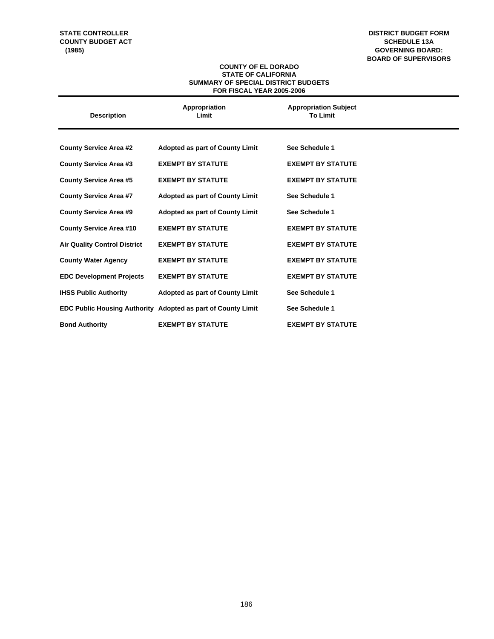### **STATE CONTROLLER COUNTY BUDGET ACT (1985)**

**DISTRICT BUDGET FORM SCHEDULE 13A GOVERNING BOARD: BOARD OF SUPERVISORS**

### **COUNTY OF EL DORADO STATE OF CALIFORNIA SUMMARY OF SPECIAL DISTRICT BUDGETS FOR FISCAL YEAR 2005-2006**

| <b>Description</b>                  | Appropriation<br>Limit                                       | <b>Appropriation Subject</b><br><b>To Limit</b> |
|-------------------------------------|--------------------------------------------------------------|-------------------------------------------------|
|                                     |                                                              |                                                 |
| <b>County Service Area #2</b>       | <b>Adopted as part of County Limit</b>                       | See Schedule 1                                  |
| <b>County Service Area #3</b>       | <b>EXEMPT BY STATUTE</b>                                     | <b>EXEMPT BY STATUTE</b>                        |
| <b>County Service Area #5</b>       | <b>EXEMPT BY STATUTE</b>                                     | <b>EXEMPT BY STATUTE</b>                        |
| <b>County Service Area #7</b>       | <b>Adopted as part of County Limit</b>                       | See Schedule 1                                  |
| <b>County Service Area #9</b>       | <b>Adopted as part of County Limit</b>                       | See Schedule 1                                  |
| <b>County Service Area #10</b>      | <b>EXEMPT BY STATUTE</b>                                     | <b>EXEMPT BY STATUTE</b>                        |
| <b>Air Quality Control District</b> | <b>EXEMPT BY STATUTE</b>                                     | <b>EXEMPT BY STATUTE</b>                        |
| <b>County Water Agency</b>          | <b>EXEMPT BY STATUTE</b>                                     | <b>EXEMPT BY STATUTE</b>                        |
| <b>EDC Development Projects</b>     | <b>EXEMPT BY STATUTE</b>                                     | <b>EXEMPT BY STATUTE</b>                        |
| <b>IHSS Public Authority</b>        | <b>Adopted as part of County Limit</b>                       | See Schedule 1                                  |
|                                     | EDC Public Housing Authority Adopted as part of County Limit | See Schedule 1                                  |
| <b>Bond Authority</b>               | <b>EXEMPT BY STATUTE</b>                                     | <b>EXEMPT BY STATUTE</b>                        |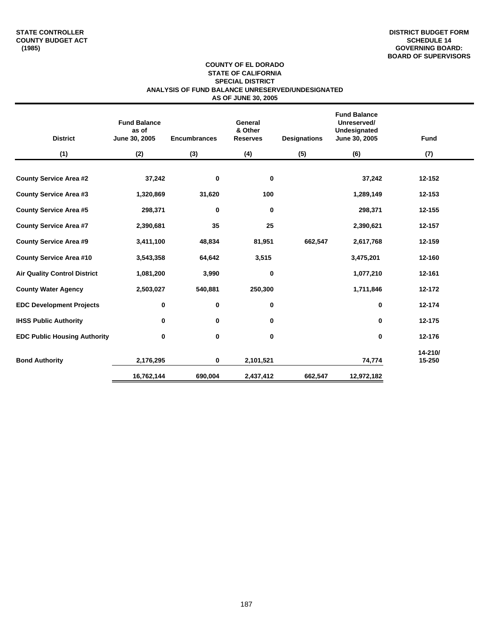#### **COUNTY OF EL DORADO STATE OF CALIFORNIA SPECIAL DISTRICT ANALYSIS OF FUND BALANCE UNRESERVED/UNDESIGNATED AS OF JUNE 30, 2005**

| <b>District</b>                     | <b>Fund Balance</b><br>as of<br>June 30, 2005 | <b>Encumbrances</b> | General<br>& Other<br><b>Reserves</b> | <b>Designations</b> | <b>Fund Balance</b><br>Unreserved/<br>Undesignated<br>June 30, 2005 | <b>Fund</b>       |
|-------------------------------------|-----------------------------------------------|---------------------|---------------------------------------|---------------------|---------------------------------------------------------------------|-------------------|
| (1)                                 | (2)                                           | (3)                 | (4)                                   | (5)                 | (6)                                                                 | (7)               |
| <b>County Service Area #2</b>       | 37,242                                        | 0                   | 0                                     |                     | 37,242                                                              | 12-152            |
| <b>County Service Area #3</b>       | 1,320,869                                     | 31,620              | 100                                   |                     | 1,289,149                                                           | 12-153            |
| <b>County Service Area #5</b>       | 298,371                                       | 0                   | 0                                     |                     | 298,371                                                             | 12-155            |
| <b>County Service Area #7</b>       | 2,390,681                                     | 35                  | 25                                    |                     | 2,390,621                                                           | 12-157            |
| <b>County Service Area #9</b>       | 3,411,100                                     | 48,834              | 81,951                                | 662,547             | 2,617,768                                                           | 12-159            |
| <b>County Service Area #10</b>      | 3,543,358                                     | 64,642              | 3,515                                 |                     | 3,475,201                                                           | 12-160            |
| <b>Air Quality Control District</b> | 1,081,200                                     | 3,990               | 0                                     |                     | 1,077,210                                                           | 12-161            |
| <b>County Water Agency</b>          | 2,503,027                                     | 540,881             | 250,300                               |                     | 1,711,846                                                           | 12-172            |
| <b>EDC Development Projects</b>     | 0                                             | 0                   | 0                                     |                     | 0                                                                   | 12-174            |
| <b>IHSS Public Authority</b>        | 0                                             | 0                   | 0                                     |                     | 0                                                                   | 12-175            |
| <b>EDC Public Housing Authority</b> | 0                                             | 0                   | 0                                     |                     | 0                                                                   | 12-176            |
| <b>Bond Authority</b>               | 2,176,295                                     | 0                   | 2,101,521                             |                     | 74,774                                                              | 14-210/<br>15-250 |
|                                     | 16,762,144                                    | 690,004             | 2,437,412                             | 662,547             | 12,972,182                                                          |                   |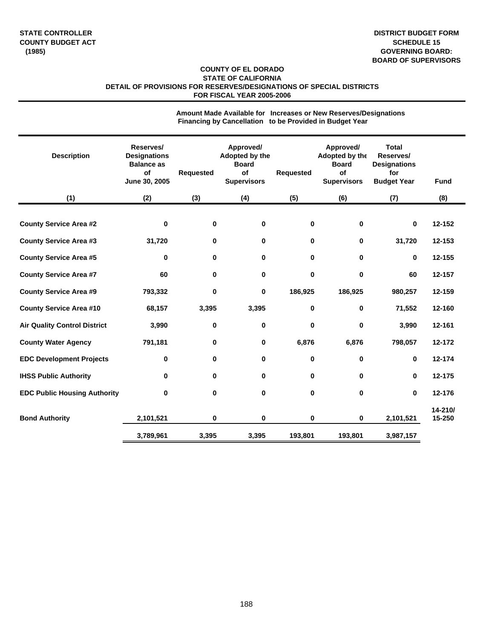### **COUNTY OF EL DORADO STATE OF CALIFORNIA DETAIL OF PROVISIONS FOR RESERVES/DESIGNATIONS OF SPECIAL DISTRICTS FOR FISCAL YEAR 2005-2006**

|                                     |                                                                              |                  | Financing by Cancellation to be Provided in Budget Year                 |             |                                                                         |                                                                               |                   |
|-------------------------------------|------------------------------------------------------------------------------|------------------|-------------------------------------------------------------------------|-------------|-------------------------------------------------------------------------|-------------------------------------------------------------------------------|-------------------|
| <b>Description</b>                  | Reserves/<br><b>Designations</b><br><b>Balance as</b><br>of<br>June 30, 2005 | <b>Requested</b> | Approved/<br>Adopted by the<br><b>Board</b><br>of<br><b>Supervisors</b> | Requested   | Approved/<br>Adopted by the<br><b>Board</b><br>of<br><b>Supervisors</b> | <b>Total</b><br>Reserves/<br><b>Designations</b><br>for<br><b>Budget Year</b> | <b>Fund</b>       |
| (1)                                 | (2)                                                                          | (3)              | (4)                                                                     | (5)         | (6)                                                                     | (7)                                                                           | (8)               |
| <b>County Service Area #2</b>       | $\mathbf 0$                                                                  | 0                | 0                                                                       | $\mathbf 0$ | 0                                                                       | 0                                                                             | 12-152            |
| <b>County Service Area #3</b>       | 31,720                                                                       | 0                | 0                                                                       | 0           | 0                                                                       | 31,720                                                                        | 12-153            |
| <b>County Service Area #5</b>       | 0                                                                            | 0                | 0                                                                       | 0           | 0                                                                       | 0                                                                             | 12-155            |
| <b>County Service Area #7</b>       | 60                                                                           | 0                | 0                                                                       | $\mathbf 0$ | 0                                                                       | 60                                                                            | 12-157            |
| <b>County Service Area #9</b>       | 793,332                                                                      | 0                | 0                                                                       | 186,925     | 186,925                                                                 | 980,257                                                                       | 12-159            |
| <b>County Service Area #10</b>      | 68,157                                                                       | 3,395            | 3,395                                                                   | $\bf{0}$    | 0                                                                       | 71,552                                                                        | 12-160            |
| <b>Air Quality Control District</b> | 3,990                                                                        | 0                | 0                                                                       | $\mathbf 0$ | 0                                                                       | 3,990                                                                         | 12-161            |
| <b>County Water Agency</b>          | 791,181                                                                      | 0                | 0                                                                       | 6,876       | 6,876                                                                   | 798,057                                                                       | 12-172            |
| <b>EDC Development Projects</b>     | $\bf{0}$                                                                     | 0                | 0                                                                       | $\pmb{0}$   | 0                                                                       | 0                                                                             | 12-174            |
| <b>IHSS Public Authority</b>        | 0                                                                            | 0                | 0                                                                       | $\mathbf 0$ | 0                                                                       | 0                                                                             | 12-175            |
| <b>EDC Public Housing Authority</b> | 0                                                                            | 0                | 0                                                                       | $\mathbf 0$ | 0                                                                       | 0                                                                             | 12-176            |
| <b>Bond Authority</b>               | 2,101,521                                                                    | 0                | 0                                                                       | $\bf{0}$    | 0                                                                       | 2,101,521                                                                     | 14-210/<br>15-250 |
|                                     | 3,789,961                                                                    | 3,395            | 3,395                                                                   | 193,801     | 193,801                                                                 | 3,987,157                                                                     |                   |
|                                     |                                                                              |                  |                                                                         |             |                                                                         |                                                                               |                   |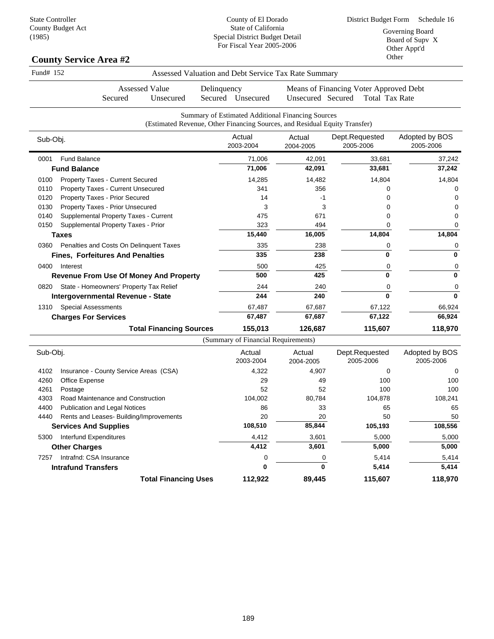State Controller County Budget Act (1985)

County of El Dorado State of California Special District Budget Detail For Fiscal Year 2005-2006

### **County Service Area #2**

| Fund# 152 |                                               |                                                                            |             |                                     | Assessed Valuation and Debt Service Tax Rate Summary |                                                                 |                             |
|-----------|-----------------------------------------------|----------------------------------------------------------------------------|-------------|-------------------------------------|------------------------------------------------------|-----------------------------------------------------------------|-----------------------------|
|           | Secured                                       | <b>Assessed Value</b><br>Unsecured                                         | Delinquency | Secured Unsecured                   | Unsecured Secured                                    | Means of Financing Voter Approved Debt<br><b>Total Tax Rate</b> |                             |
|           |                                               | (Estimated Revenue, Other Financing Sources, and Residual Equity Transfer) |             |                                     | Summary of Estimated Additional Financing Sources    |                                                                 |                             |
| Sub-Obj.  |                                               |                                                                            |             | Actual<br>2003-2004                 | Actual<br>2004-2005                                  | Dept.Requested<br>2005-2006                                     | Adopted by BOS<br>2005-2006 |
| 0001      | <b>Fund Balance</b>                           |                                                                            |             | 71,006                              | 42,091                                               | 33,681                                                          | 37,242                      |
|           | <b>Fund Balance</b>                           |                                                                            |             | 71,006                              | 42,091                                               | 33,681                                                          | 37,242                      |
| 0100      | <b>Property Taxes - Current Secured</b>       |                                                                            |             | 14,285                              | 14,482                                               | 14,804                                                          | 14,804                      |
| 0110      | Property Taxes - Current Unsecured            |                                                                            |             | 341                                 | 356                                                  | 0                                                               | 0                           |
| 0120      | Property Taxes - Prior Secured                |                                                                            |             | 14                                  | $-1$                                                 | 0                                                               | 0                           |
| 0130      | Property Taxes - Prior Unsecured              |                                                                            |             | 3                                   | 3                                                    | 0                                                               | 0                           |
| 0140      | Supplemental Property Taxes - Current         |                                                                            |             | 475                                 | 671                                                  | 0                                                               | 0                           |
| 0150      | Supplemental Property Taxes - Prior           |                                                                            |             | 323                                 | 494                                                  | 0                                                               | 0                           |
|           | <b>Taxes</b>                                  |                                                                            |             | 15,440                              | 16,005                                               | 14,804                                                          | 14,804                      |
| 0360      | Penalties and Costs On Delinquent Taxes       |                                                                            |             | 335                                 | 238                                                  | 0                                                               | 0                           |
|           | <b>Fines, Forfeitures And Penalties</b>       |                                                                            |             | 335                                 | 238                                                  | 0                                                               | $\bf{0}$                    |
| 0400      | Interest                                      |                                                                            |             | 500                                 | 425                                                  | 0                                                               | $\mathbf 0$                 |
|           | <b>Revenue From Use Of Money And Property</b> |                                                                            |             | 500                                 | 425                                                  | 0                                                               | $\bf{0}$                    |
| 0820      | State - Homeowners' Property Tax Relief       |                                                                            |             | 244                                 | 240                                                  | 0                                                               | 0                           |
|           | Intergovernmental Revenue - State             |                                                                            |             | 244                                 | 240                                                  | $\bf{0}$                                                        | $\mathbf 0$                 |
| 1310      | <b>Special Assessments</b>                    |                                                                            |             | 67,487                              | 67,687                                               | 67,122                                                          | 66,924                      |
|           | <b>Charges For Services</b>                   |                                                                            |             | 67,487                              | 67,687                                               | 67,122                                                          | 66,924                      |
|           |                                               | <b>Total Financing Sources</b>                                             |             | 155,013                             | 126,687                                              | 115,607                                                         | 118,970                     |
|           |                                               |                                                                            |             | (Summary of Financial Requirements) |                                                      |                                                                 |                             |
| Sub-Obj.  |                                               |                                                                            |             | Actual<br>2003-2004                 | Actual<br>2004-2005                                  | Dept.Requested<br>2005-2006                                     | Adopted by BOS<br>2005-2006 |
| 4102      | Insurance - County Service Areas (CSA)        |                                                                            |             | 4,322                               | 4,907                                                | 0                                                               | 0                           |
| 4260      | Office Expense                                |                                                                            |             | 29                                  | 49                                                   | 100                                                             | 100                         |
| 4261      | Postage                                       |                                                                            |             | 52                                  | 52                                                   | 100                                                             | 100                         |
| 4303      | Road Maintenance and Construction             |                                                                            |             | 104,002                             | 80,784                                               | 104,878                                                         | 108,241                     |
| 4400      | Publication and Legal Notices                 |                                                                            |             | 86                                  | 33                                                   | 65                                                              | 65                          |
| 4440      | Rents and Leases- Building/Improvements       |                                                                            |             | 20                                  | 20                                                   | 50                                                              | 50                          |
|           | <b>Services And Supplies</b>                  |                                                                            |             | 108,510                             | 85,844                                               | 105,193                                                         | 108,556                     |

5300 Interfund Expenditures 6,000 5,000 5,000 5,000 5,000 5,000 5,000 5,000 5,000 5,000 5,000 5,000 5,000 5,000 **Other Charges 6,000 5,000 5,000 5,000** 7257 Intrafnd: CSA Insurance 6 0 0 0 5,414 5,414 5,414 **Intrafund Transfers 0 1 6**,414 **5,414 5,414** 

**Total Financing Uses 112,922 89,445 115,607 118,970**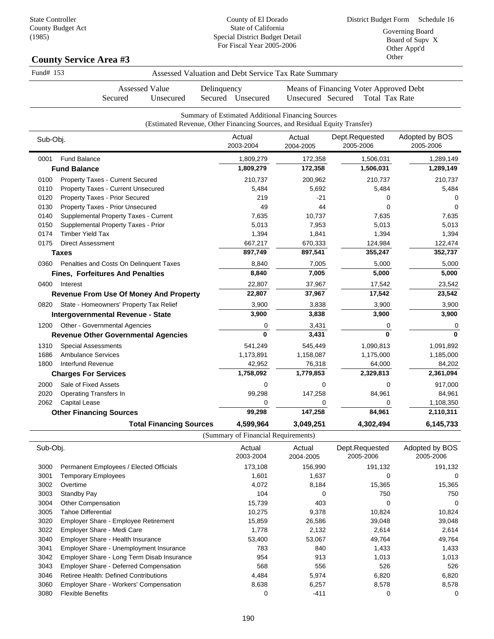### **County Service Area #3**

| Fund# 153 |                                               | Assessed Valuation and Debt Service Tax Rate Summary                                                                            |                     |                                                                 |                             |
|-----------|-----------------------------------------------|---------------------------------------------------------------------------------------------------------------------------------|---------------------|-----------------------------------------------------------------|-----------------------------|
|           | Assessed Value<br>Secured<br>Unsecured        | Delinquency<br>Secured Unsecured                                                                                                | Unsecured Secured   | Means of Financing Voter Approved Debt<br><b>Total Tax Rate</b> |                             |
|           |                                               | Summary of Estimated Additional Financing Sources<br>(Estimated Revenue, Other Financing Sources, and Residual Equity Transfer) |                     |                                                                 |                             |
| Sub-Obj.  |                                               | Actual<br>2003-2004                                                                                                             | Actual<br>2004-2005 | Dept.Requested<br>2005-2006                                     | Adopted by BOS<br>2005-2006 |
| 0001      | <b>Fund Balance</b>                           | 1,809,279                                                                                                                       | 172,358             | 1,506,031                                                       | 1,289,149                   |
|           | <b>Fund Balance</b>                           | 1,809,279                                                                                                                       | 172,358             | 1,506,031                                                       | 1,289,149                   |
| 0100      | <b>Property Taxes - Current Secured</b>       | 210,737                                                                                                                         | 200,962             | 210,737                                                         | 210,737                     |
| 0110      | Property Taxes - Current Unsecured            | 5,484                                                                                                                           | 5,692               | 5,484                                                           | 5,484                       |
| 0120      | Property Taxes - Prior Secured                | 219                                                                                                                             | -21                 | 0                                                               | 0                           |
| 0130      | Property Taxes - Prior Unsecured              | 49                                                                                                                              | 44                  | 0                                                               | $\Omega$                    |
| 0140      | Supplemental Property Taxes - Current         | 7,635                                                                                                                           | 10,737              | 7,635                                                           | 7,635                       |
| 0150      | Supplemental Property Taxes - Prior           | 5,013                                                                                                                           | 7,953               | 5,013                                                           | 5,013                       |
| 0174      | <b>Timber Yield Tax</b>                       | 1,394                                                                                                                           | 1,841               | 1,394                                                           | 1,394                       |
| 0175      | <b>Direct Assessment</b>                      | 667,217                                                                                                                         | 670,333             | 124,984                                                         | 122,474                     |
|           | <b>Taxes</b>                                  | 897,749                                                                                                                         | 897,541             | 355,247                                                         | 352,737                     |
| 0360      | Penalties and Costs On Delinquent Taxes       | 8,840                                                                                                                           | 7,005               | 5,000                                                           | 5,000                       |
|           | <b>Fines, Forfeitures And Penalties</b>       | 8,840                                                                                                                           | 7,005               | 5,000                                                           | 5,000                       |
| 0400      | Interest                                      | 22,807                                                                                                                          | 37,967              | 17,542                                                          | 23,542                      |
|           | <b>Revenue From Use Of Money And Property</b> | 22,807                                                                                                                          | 37,967              | 17,542                                                          | 23,542                      |
| 0820      | State - Homeowners' Property Tax Relief       | 3,900                                                                                                                           | 3,838               | 3,900                                                           | 3,900                       |
|           | Intergovernmental Revenue - State             | 3,900                                                                                                                           | 3,838               | 3,900                                                           | 3,900                       |
| 1200      | Other - Governmental Agencies                 | 0                                                                                                                               | 3,431               | 0                                                               | 0                           |
|           | <b>Revenue Other Governmental Agencies</b>    | 0                                                                                                                               | 3,431               | $\mathbf{0}$                                                    | $\bf{0}$                    |
| 1310      | <b>Special Assessments</b>                    | 541,249                                                                                                                         | 545,449             | 1,090,813                                                       | 1,091,892                   |
| 1686      | <b>Ambulance Services</b>                     | 1,173,891                                                                                                                       | 1,158,087           | 1,175,000                                                       | 1,185,000                   |
| 1800      | Interfund Revenue                             | 42,952                                                                                                                          | 76,318              | 64,000                                                          | 84,202                      |
|           | <b>Charges For Services</b>                   | 1,758,092                                                                                                                       | 1,779,853           | 2,329,813                                                       | 2,361,094                   |
| 2000      | Sale of Fixed Assets                          | 0                                                                                                                               | 0                   | 0                                                               | 917,000                     |
| 2020      | <b>Operating Transfers In</b>                 | 99,298                                                                                                                          | 147,258             | 84,961                                                          | 84,961                      |
| 2062      | Capital Lease                                 | 0                                                                                                                               | 0                   | 0                                                               | 1,108,350                   |
|           | <b>Other Financing Sources</b>                | 99,298                                                                                                                          | 147,258             | 84,961                                                          | 2,110,311                   |
|           | <b>Total Financing Sources</b>                | 4,599,964                                                                                                                       | 3,049,251           | 4,302,494                                                       | 6,145,733                   |

(Summary of Financial Requirements)

| Sub-Obj. |                                               | Actual<br>2003-2004 | Actual<br>2004-2005 | Dept.Requested<br>2005-2006 | Adopted by BOS<br>2005-2006 |
|----------|-----------------------------------------------|---------------------|---------------------|-----------------------------|-----------------------------|
| 3000     | Permanent Employees / Elected Officials       | 173,108             | 156,990             | 191,132                     | 191,132                     |
| 3001     | <b>Temporary Employees</b>                    | 1,601               | 1,637               | 0                           | 0                           |
| 3002     | Overtime                                      | 4,072               | 8,184               | 15,365                      | 15,365                      |
| 3003     | Standby Pay                                   | 104                 | 0                   | 750                         | 750                         |
| 3004     | Other Compensation                            | 15,739              | 403                 | 0                           | 0                           |
| 3005     | Tahoe Differential                            | 10,275              | 9,378               | 10,824                      | 10,824                      |
| 3020     | Employer Share - Employee Retirement          | 15,859              | 26,586              | 39,048                      | 39,048                      |
| 3022     | Employer Share - Medi Care                    | 1,778               | 2,132               | 2,614                       | 2,614                       |
| 3040     | Employer Share - Health Insurance             | 53,400              | 53,067              | 49,764                      | 49,764                      |
| 3041     | Employer Share - Unemployment Insurance       | 783                 | 840                 | 1,433                       | 1,433                       |
| 3042     | Employer Share - Long Term Disab Insurance    | 954                 | 913                 | 1,013                       | 1,013                       |
| 3043     | <b>Employer Share - Deferred Compensation</b> | 568                 | 556                 | 526                         | 526                         |
| 3046     | <b>Retiree Health: Defined Contributions</b>  | 4,484               | 5,974               | 6,820                       | 6,820                       |
| 3060     | <b>Employer Share - Workers' Compensation</b> | 8,638               | 6,257               | 8,578                       | 8,578                       |
| 3080     | <b>Flexible Benefits</b>                      | 0                   | $-411$              | 0                           | 0                           |
|          |                                               |                     |                     |                             |                             |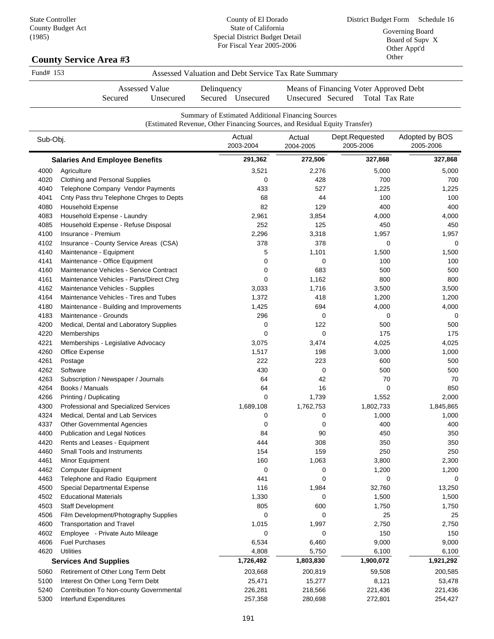County of El Dorado State of California

| (1985)    | $\sim$ $\sim$ $\sim$ $\sim$ $\sim$ $\sim$ $\sim$ $\sim$<br><b>County Service Area #3</b> |           |                                                                                                                                 | Special District Budget Detail<br>For Fiscal Year 2005-2006 |                                                                 |                             |  |  |
|-----------|------------------------------------------------------------------------------------------|-----------|---------------------------------------------------------------------------------------------------------------------------------|-------------------------------------------------------------|-----------------------------------------------------------------|-----------------------------|--|--|
| Fund# 153 |                                                                                          |           | Assessed Valuation and Debt Service Tax Rate Summary                                                                            |                                                             |                                                                 |                             |  |  |
|           | <b>Assessed Value</b><br>Secured                                                         | Unsecured | Delinquency<br>Secured Unsecured                                                                                                | Unsecured Secured                                           | Means of Financing Voter Approved Debt<br><b>Total Tax Rate</b> |                             |  |  |
|           |                                                                                          |           | Summary of Estimated Additional Financing Sources<br>(Estimated Revenue, Other Financing Sources, and Residual Equity Transfer) |                                                             |                                                                 |                             |  |  |
| Sub-Obj.  |                                                                                          |           | Actual<br>2003-2004                                                                                                             | Actual<br>2004-2005                                         | Dept.Requested<br>2005-2006                                     | Adopted by BOS<br>2005-2006 |  |  |
|           | <b>Salaries And Employee Benefits</b>                                                    |           | 291,362                                                                                                                         | 272,506                                                     | 327,868                                                         | 327,868                     |  |  |
| 4000      | Agriculture                                                                              |           | 3,521                                                                                                                           | 2,276                                                       | 5,000                                                           | 5,000                       |  |  |
| 4020      | Clothing and Personal Supplies                                                           |           | 0                                                                                                                               | 428                                                         | 700                                                             | 700                         |  |  |
| 4040      | Telephone Company Vendor Payments                                                        |           | 433                                                                                                                             | 527                                                         | 1,225                                                           | 1,225                       |  |  |
| 4041      | Cnty Pass thru Telephone Chrges to Depts                                                 |           | 68                                                                                                                              | 44                                                          | 100                                                             | 100                         |  |  |
| 4080      | <b>Household Expense</b>                                                                 |           | 82                                                                                                                              | 129                                                         | 400                                                             | 400                         |  |  |
| 4083      | Household Expense - Laundry                                                              |           | 2,961                                                                                                                           | 3,854                                                       | 4,000                                                           | 4,000                       |  |  |
| 4085      | Household Expense - Refuse Disposal                                                      |           | 252                                                                                                                             | 125                                                         | 450                                                             | 450                         |  |  |
| 4100      | Insurance - Premium                                                                      |           | 2,296                                                                                                                           | 3,318                                                       | 1,957                                                           | 1,957                       |  |  |
| 4102      | Insurance - County Service Areas (CSA)                                                   |           | 378                                                                                                                             | 378                                                         | 0                                                               | 0                           |  |  |
| 4140      | Maintenance - Equipment                                                                  |           | 5                                                                                                                               | 1,101                                                       | 1,500                                                           | 1,500                       |  |  |
| 4141      | Maintenance - Office Equipment                                                           |           | 0                                                                                                                               | 0                                                           | 100                                                             | 100                         |  |  |
| 4160      | Maintenance Vehicles - Service Contract                                                  |           | $\mathbf 0$                                                                                                                     | 683                                                         | 500                                                             | 500                         |  |  |
| 4161      | Maintenance Vehicles - Parts/Direct Chrg                                                 |           | 0                                                                                                                               | 1,162                                                       | 800                                                             | 800                         |  |  |
| 4162      | Maintenance Vehicles - Supplies                                                          |           | 3,033                                                                                                                           | 1,716                                                       | 3,500                                                           | 3,500                       |  |  |
| 4164      | Maintenance Vehicles - Tires and Tubes                                                   |           | 1,372                                                                                                                           | 418                                                         | 1,200                                                           | 1,200                       |  |  |
| 4180      | Maintenance - Building and Improvements                                                  |           | 1,425                                                                                                                           | 694                                                         | 4,000                                                           | 4,000                       |  |  |
| 4183      | Maintenance - Grounds                                                                    |           | 296                                                                                                                             | 0                                                           | 0                                                               | 0                           |  |  |
| 4200      | Medical, Dental and Laboratory Supplies                                                  |           | 0                                                                                                                               | 122                                                         | 500                                                             | 500                         |  |  |
| 4220      | <b>Memberships</b>                                                                       |           | 0                                                                                                                               | 0                                                           | 175                                                             | 175                         |  |  |
| 4221      | Memberships - Legislative Advocacy                                                       |           | 3,075                                                                                                                           | 3,474                                                       | 4,025                                                           | 4,025                       |  |  |
| 4260      | Office Expense                                                                           |           | 1,517                                                                                                                           | 198                                                         | 3,000                                                           | 1,000                       |  |  |
| 4261      | Postage                                                                                  |           | 222                                                                                                                             | 223                                                         | 600                                                             | 500                         |  |  |
| 4262      | Software                                                                                 |           | 430                                                                                                                             | 0                                                           | 500                                                             | 500                         |  |  |
| 4263      | Subscription / Newspaper / Journals                                                      |           | 64                                                                                                                              | 42                                                          | 70                                                              | 70                          |  |  |
| 4264      | Books / Manuals                                                                          |           | 64                                                                                                                              | 16                                                          | 0                                                               | 850                         |  |  |
| 4266      | Printing / Duplicating                                                                   |           | 0                                                                                                                               | 1,739                                                       | 1,552                                                           | 2,000                       |  |  |
| 4300      | Professional and Specialized Services                                                    |           | 1,689,108                                                                                                                       | 1,762,753                                                   | 1,802,733                                                       | 1,845,865                   |  |  |
| 4324      | Medical, Dental and Lab Services                                                         |           | 0                                                                                                                               | 0                                                           | 1,000                                                           | 1,000                       |  |  |
| 4337      | <b>Other Governmental Agencies</b>                                                       |           | 0                                                                                                                               | 0                                                           | 400                                                             | 400                         |  |  |
| 4400      | <b>Publication and Legal Notices</b>                                                     |           | 84                                                                                                                              | 90                                                          | 450                                                             | 350                         |  |  |
| 4420      | Rents and Leases - Equipment                                                             |           | 444                                                                                                                             | 308                                                         | 350                                                             | 350                         |  |  |
| 4460      | <b>Small Tools and Instruments</b>                                                       |           | 154                                                                                                                             | 159                                                         | 250                                                             | 250                         |  |  |
| 4461      | Minor Equipment                                                                          |           | 160                                                                                                                             | 1,063                                                       | 3,800                                                           | 2,300                       |  |  |
| 4462      | <b>Computer Equipment</b>                                                                |           | 0                                                                                                                               | 0                                                           | 1,200                                                           | 1,200                       |  |  |
| 4463      | Telephone and Radio Equipment                                                            |           | 441                                                                                                                             | 0                                                           | 0                                                               | 0                           |  |  |
| 4500      | Special Departmental Expense                                                             |           | 116                                                                                                                             | 1,984                                                       | 32,760                                                          | 13,250                      |  |  |
| 4502      | <b>Educational Materials</b>                                                             |           | 1,330                                                                                                                           | 0                                                           | 1,500                                                           | 1,500                       |  |  |
| 4503      | <b>Staff Development</b>                                                                 |           | 805                                                                                                                             | 600                                                         | 1,750                                                           | 1,750                       |  |  |
| 4506      | Film Development/Photography Supplies                                                    |           | 0                                                                                                                               | 0                                                           | 25                                                              | 25                          |  |  |
| 4600      | <b>Transportation and Travel</b>                                                         |           | 1,015                                                                                                                           | 1,997                                                       | 2,750                                                           | 2,750                       |  |  |
| 4602      | Employee - Private Auto Mileage                                                          |           | 0                                                                                                                               | 0                                                           | 150                                                             | 150                         |  |  |
| 4606      | <b>Fuel Purchases</b>                                                                    |           | 6,534                                                                                                                           | 6,460                                                       | 9,000                                                           | 9,000                       |  |  |
| 4620      | <b>Utilities</b>                                                                         |           | 4,808                                                                                                                           | 5,750                                                       | 6,100                                                           | 6,100                       |  |  |
|           | <b>Services And Supplies</b>                                                             |           | 1,726,492                                                                                                                       | 1,803,830                                                   | 1,900,072                                                       | 1,921,292                   |  |  |

5100 Interest On Other Long Term Debt 25,471 15,277 8,121 53,478 5240 Contribution To Non-county Governmental 226,281 218,566 221,436 221,436 5300 Interfund Expenditures 257,358 280,698 272,801 254,427

5060 Retirement of Other Long Term Debt 203,668 200,819 59,508 200,585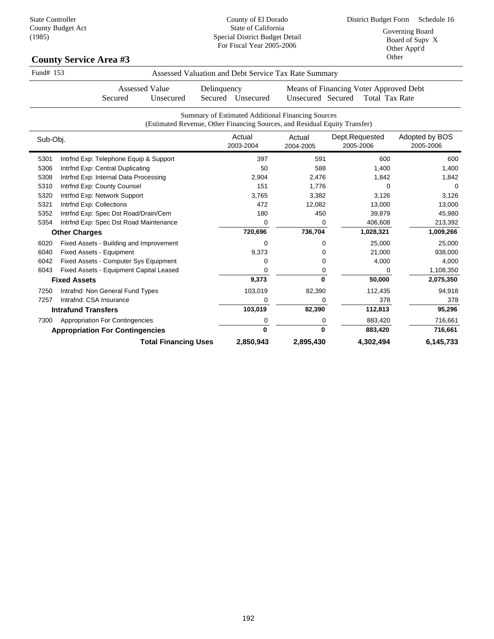| Fund# 153 |                                               | Assessed Valuation and Debt Service Tax Rate Summary                                                                            |                     |                                                                 |                             |
|-----------|-----------------------------------------------|---------------------------------------------------------------------------------------------------------------------------------|---------------------|-----------------------------------------------------------------|-----------------------------|
|           | <b>Assessed Value</b><br>Secured<br>Unsecured | Delinquency<br>Secured Unsecured                                                                                                | Unsecured Secured   | Means of Financing Voter Approved Debt<br><b>Total Tax Rate</b> |                             |
|           |                                               | Summary of Estimated Additional Financing Sources<br>(Estimated Revenue, Other Financing Sources, and Residual Equity Transfer) |                     |                                                                 |                             |
| Sub-Obj.  |                                               | Actual<br>2003-2004                                                                                                             | Actual<br>2004-2005 | Dept.Requested<br>2005-2006                                     | Adopted by BOS<br>2005-2006 |
| 5301      | Intrfnd Exp: Telephone Equip & Support        | 397                                                                                                                             | 591                 | 600                                                             | 600                         |
| 5306      | Intrfnd Exp: Central Duplicating              | 50                                                                                                                              | 588                 | 1,400                                                           | 1,400                       |
| 5308      | Intrfnd Exp: Internal Data Processing         | 2,904                                                                                                                           | 2,476               | 1,842                                                           | 1,842                       |
| 5310      | Intrfnd Exp: County Counsel                   | 151                                                                                                                             | 1,776               | $\Omega$                                                        | $\Omega$                    |
| 5320      | Intrfnd Exp: Network Support                  | 3,765                                                                                                                           | 3,382               | 3,126                                                           | 3,126                       |
| 5321      | Intrfnd Exp: Collections                      | 472                                                                                                                             | 12,082              | 13,000                                                          | 13,000                      |
| 5352      | Intrfnd Exp: Spec Dst Road/Drain/Cem          | 180                                                                                                                             | 450                 | 39,879                                                          | 45,980                      |
| 5354      | Intrfnd Exp: Spec Dst Road Maintenance        | 0                                                                                                                               | 0                   | 406,608                                                         | 213,392                     |
|           | <b>Other Charges</b>                          | 720,696                                                                                                                         | 736,704             | 1,028,321                                                       | 1,009,266                   |
| 6020      | Fixed Assets - Building and Improvement       | 0                                                                                                                               | 0                   | 25,000                                                          | 25,000                      |
| 6040      | <b>Fixed Assets - Equipment</b>               | 9,373                                                                                                                           | 0                   | 21,000                                                          | 938,000                     |
| 6042      | Fixed Assets - Computer Sys Equipment         | 0                                                                                                                               | 0                   | 4,000                                                           | 4,000                       |
| 6043      | Fixed Assets - Equipment Capital Leased       | 0                                                                                                                               | 0                   | 0                                                               | 1,108,350                   |
|           | <b>Fixed Assets</b>                           | 9,373                                                                                                                           | $\bf{0}$            | 50,000                                                          | 2,075,350                   |
| 7250      | Intrafnd: Non General Fund Types              | 103,019                                                                                                                         | 82,390              | 112,435                                                         | 94,918                      |
| 7257      | Intrafnd: CSA Insurance                       | 0                                                                                                                               | 0                   | 378                                                             | 378                         |
|           | <b>Intrafund Transfers</b>                    | 103,019                                                                                                                         | 82,390              | 112,813                                                         | 95,296                      |
| 7300      | <b>Appropriation For Contingencies</b>        | 0                                                                                                                               | 0                   | 883,420                                                         | 716,661                     |
|           | <b>Appropriation For Contingencies</b>        | $\bf{0}$                                                                                                                        | $\mathbf{0}$        | 883,420                                                         | 716,661                     |
|           | <b>Total Financing Uses</b>                   | 2,850,943                                                                                                                       | 2,895,430           | 4,302,494                                                       | 6,145,733                   |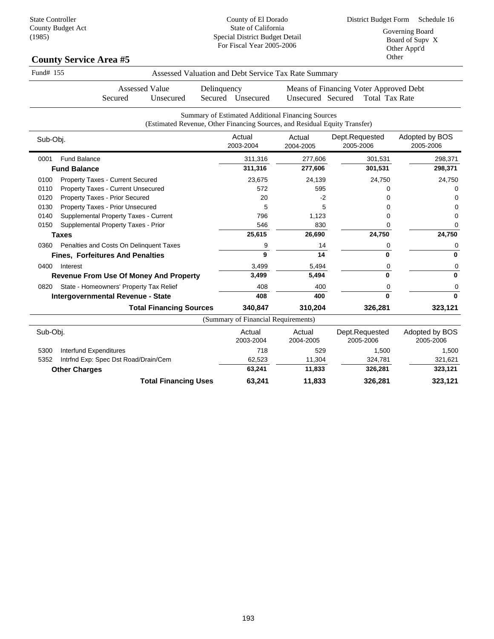| Fund# 155                                       |                                                                            |             |                                     | Assessed Valuation and Debt Service Tax Rate Summary |                                                                 |                             |
|-------------------------------------------------|----------------------------------------------------------------------------|-------------|-------------------------------------|------------------------------------------------------|-----------------------------------------------------------------|-----------------------------|
| Secured                                         | <b>Assessed Value</b><br>Unsecured                                         | Delinquency | Secured Unsecured                   | Unsecured Secured                                    | Means of Financing Voter Approved Debt<br><b>Total Tax Rate</b> |                             |
|                                                 | (Estimated Revenue, Other Financing Sources, and Residual Equity Transfer) |             |                                     | Summary of Estimated Additional Financing Sources    |                                                                 |                             |
| Sub-Obj.                                        |                                                                            |             | Actual<br>2003-2004                 | Actual<br>2004-2005                                  | Dept.Requested<br>2005-2006                                     | Adopted by BOS<br>2005-2006 |
| <b>Fund Balance</b><br>0001                     |                                                                            |             | 311,316                             | 277,606                                              | 301,531                                                         | 298,371                     |
| <b>Fund Balance</b>                             |                                                                            |             | 311,316                             | 277,606                                              | 301,531                                                         | 298,371                     |
| 0100<br><b>Property Taxes - Current Secured</b> |                                                                            |             | 23,675                              | 24,139                                               | 24,750                                                          | 24,750                      |
| Property Taxes - Current Unsecured<br>0110      |                                                                            |             | 572                                 | 595                                                  | 0                                                               | 0                           |
| Property Taxes - Prior Secured<br>0120          |                                                                            |             | 20                                  | $-2$                                                 | 0                                                               | $\Omega$                    |
| Property Taxes - Prior Unsecured<br>0130        |                                                                            |             | 5                                   | 5                                                    | 0                                                               | 0                           |
| Supplemental Property Taxes - Current<br>0140   |                                                                            |             | 796                                 | 1,123                                                | 0                                                               | $\Omega$                    |
| Supplemental Property Taxes - Prior<br>0150     |                                                                            |             | 546                                 | 830                                                  | 0                                                               | 0                           |
| <b>Taxes</b>                                    |                                                                            |             | 25,615                              | 26,690                                               | 24,750                                                          | 24,750                      |
| Penalties and Costs On Delinquent Taxes<br>0360 |                                                                            |             | 9                                   | 14                                                   | 0                                                               | 0                           |
| <b>Fines, Forfeitures And Penalties</b>         |                                                                            |             | 9                                   | 14                                                   | $\bf{0}$                                                        | $\bf{0}$                    |
| 0400<br>Interest                                |                                                                            |             | 3,499                               | 5,494                                                | 0                                                               | 0                           |
| <b>Revenue From Use Of Money And Property</b>   |                                                                            |             | 3,499                               | 5,494                                                | 0                                                               | $\bf{0}$                    |
| State - Homeowners' Property Tax Relief<br>0820 |                                                                            |             | 408                                 | 400                                                  | 0                                                               | 0                           |
| Intergovernmental Revenue - State               |                                                                            |             | 408                                 | 400                                                  | $\bf{0}$                                                        | $\bf{0}$                    |
|                                                 | <b>Total Financing Sources</b>                                             |             | 340,847                             | 310,204                                              | 326,281                                                         | 323,121                     |
|                                                 |                                                                            |             | (Summary of Financial Requirements) |                                                      |                                                                 |                             |
| Sub-Obj.                                        |                                                                            |             | Actual<br>2003-2004                 | Actual<br>2004-2005                                  | Dept.Requested<br>2005-2006                                     | Adopted by BOS<br>2005-2006 |
| <b>Interfund Expenditures</b><br>5300           |                                                                            |             | 718                                 | 529                                                  | 1,500                                                           | 1,500                       |
| 5352<br>Intrfnd Exp: Spec Dst Road/Drain/Cem    |                                                                            |             | 62,523                              | 11,304                                               | 324,781                                                         | 321,621                     |
| <b>Other Charges</b>                            |                                                                            |             | 63,241                              | 11,833                                               | 326,281                                                         | 323,121                     |
|                                                 | <b>Total Financing Uses</b>                                                |             | 63,241                              | 11,833                                               | 326,281                                                         | 323,121                     |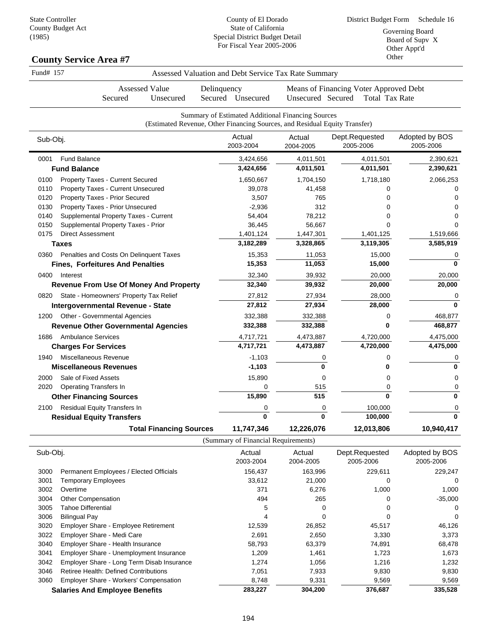County of El Dorado State of California Special District Budget Detail

### Count<sub>,</sub>

| 1,00,1    | <b>County Service Area #7</b>           |                       |             | speerar Bistret Bauget Betan<br>For Fiscal Year 2005-2006 |                                                                                                                                 |                                        | Board of Supy X<br>Other Appt'd<br>Other |  |
|-----------|-----------------------------------------|-----------------------|-------------|-----------------------------------------------------------|---------------------------------------------------------------------------------------------------------------------------------|----------------------------------------|------------------------------------------|--|
| Fund# 157 |                                         |                       |             |                                                           | Assessed Valuation and Debt Service Tax Rate Summary                                                                            |                                        |                                          |  |
|           |                                         | <b>Assessed Value</b> | Delinquency |                                                           |                                                                                                                                 | Means of Financing Voter Approved Debt |                                          |  |
|           | Secured                                 | Unsecured             | Secured     | Unsecured                                                 | Unsecured Secured                                                                                                               | <b>Total Tax Rate</b>                  |                                          |  |
|           |                                         |                       |             |                                                           | Summary of Estimated Additional Financing Sources<br>(Estimated Revenue, Other Financing Sources, and Residual Equity Transfer) |                                        |                                          |  |
| Sub-Obj.  |                                         |                       |             | Actual<br>2003-2004                                       | Actual<br>2004-2005                                                                                                             | Dept.Requested<br>2005-2006            | Adopted by BOS<br>2005-2006              |  |
| 0001      | <b>Fund Balance</b>                     |                       |             | 3,424,656                                                 | 4,011,501                                                                                                                       | 4,011,501                              | 2,390,621                                |  |
|           | <b>Fund Balance</b>                     |                       |             | 3,424,656                                                 | 4,011,501                                                                                                                       | 4,011,501                              | 2,390,621                                |  |
| 0100      | <b>Property Taxes - Current Secured</b> |                       |             | 1,650,667                                                 | 1,704,150                                                                                                                       | 1,718,180                              | 2,066,253                                |  |
| 0110      | Property Taxes - Current Unsecured      |                       |             | 39,078                                                    | 41,458                                                                                                                          | Ω                                      |                                          |  |
| 0120      | Property Taxes - Prior Secured          |                       |             | 3,507                                                     | 765                                                                                                                             | 0                                      |                                          |  |
| 0130      | Property Taxes - Prior Unsecured        |                       |             | $-2,936$                                                  | 312                                                                                                                             | 0                                      |                                          |  |
| 0140      | Supplemental Property Taxes - Current   |                       |             | 54,404                                                    | 78,212                                                                                                                          | O                                      |                                          |  |
| 0150      | Supplemental Property Taxes - Prior     |                       |             | 36,445                                                    | 56,667                                                                                                                          | 0                                      |                                          |  |
| 0175      | <b>Direct Assessment</b>                |                       |             | 1,401,124                                                 | 1,447,301                                                                                                                       | 1,401,125                              | 1,519,666                                |  |

| <b>UUU</b> I | Fully Dalallet                                | <b>0,424,000</b> | 4,011,301  | 4,011,001  | 2,JYU,UZ I |
|--------------|-----------------------------------------------|------------------|------------|------------|------------|
|              | <b>Fund Balance</b>                           | 3,424,656        | 4,011,501  | 4,011,501  | 2,390,621  |
| 0100         | Property Taxes - Current Secured              | 1,650,667        | 1,704,150  | 1,718,180  | 2,066,253  |
| 0110         | Property Taxes - Current Unsecured            | 39,078           | 41,458     |            |            |
| 0120         | Property Taxes - Prior Secured                | 3,507            | 765        |            |            |
| 0130         | Property Taxes - Prior Unsecured              | $-2,936$         | 312        |            |            |
| 0140         | Supplemental Property Taxes - Current         | 54,404           | 78,212     |            |            |
| 0150         | Supplemental Property Taxes - Prior           | 36,445           | 56,667     |            |            |
| 0175         | <b>Direct Assessment</b>                      | 1,401,124        | 1,447,301  | 1,401,125  | 1,519,666  |
|              | <b>Taxes</b>                                  | 3,182,289        | 3,328,865  | 3,119,305  | 3,585,919  |
| 0360         | Penalties and Costs On Delinguent Taxes       | 15,353           | 11,053     | 15,000     |            |
|              | <b>Fines, Forfeitures And Penalties</b>       | 15,353           | 11,053     | 15,000     | 0          |
| 0400         | Interest                                      | 32,340           | 39,932     | 20,000     | 20,000     |
|              | <b>Revenue From Use Of Money And Property</b> | 32,340           | 39,932     | 20,000     | 20,000     |
| 0820         | State - Homeowners' Property Tax Relief       | 27,812           | 27,934     | 28,000     | 0          |
|              | <b>Intergovernmental Revenue - State</b>      | 27,812           | 27,934     | 28,000     | 0          |
| 1200         | Other - Governmental Agencies                 | 332,388          | 332,388    | 0          | 468,877    |
|              | <b>Revenue Other Governmental Agencies</b>    | 332,388          | 332,388    | 0          | 468,877    |
| 1686         | <b>Ambulance Services</b>                     | 4,717,721        | 4,473,887  | 4,720,000  | 4,475,000  |
|              | <b>Charges For Services</b>                   | 4,717,721        | 4,473,887  | 4,720,000  | 4,475,000  |
| 1940         | Miscellaneous Revenue                         | $-1,103$         |            |            |            |
|              | <b>Miscellaneous Revenues</b>                 | $-1,103$         | U          |            | ŋ          |
| 2000         | Sale of Fixed Assets                          | 15,890           | 0          | 0          | 0          |
| 2020         | <b>Operating Transfers In</b>                 | 0                | 515        | 0          |            |
|              | <b>Other Financing Sources</b>                | 15,890           | 515        | O          | 0          |
| 2100         | Residual Equity Transfers In                  | 0                | 0          | 100,000    | 0          |
|              | <b>Residual Equity Transfers</b>              | $\bf{0}$         | $\bf{0}$   | 100,000    | 0          |
|              | <b>Total Financing Sources</b>                | 11,747,346       | 12,226,076 | 12,013,806 | 10,940,417 |
|              |                                               |                  |            |            |            |

(Summary of Financial Requirements)

| Sub-Obj. |                                               | Actual<br>2003-2004 | Actual<br>2004-2005 | Dept.Requested<br>2005-2006 | Adopted by BOS<br>2005-2006 |
|----------|-----------------------------------------------|---------------------|---------------------|-----------------------------|-----------------------------|
| 3000     | Permanent Employees / Elected Officials       | 156,437             | 163,996             | 229,611                     | 229,247                     |
| 3001     | Temporary Employees                           | 33,612              | 21,000              | 0                           | $\Omega$                    |
| 3002     | Overtime                                      | 371                 | 6,276               | 1,000                       | 1,000                       |
| 3004     | Other Compensation                            | 494                 | 265                 | $\Omega$                    | $-35,000$                   |
| 3005     | Tahoe Differential                            | 5                   |                     | 0                           | 0                           |
| 3006     | <b>Bilingual Pay</b>                          | 4                   | 0                   | 0                           | 0                           |
| 3020     | <b>Employer Share - Employee Retirement</b>   | 12,539              | 26,852              | 45,517                      | 46,126                      |
| 3022     | Employer Share - Medi Care                    | 2,691               | 2,650               | 3,330                       | 3,373                       |
| 3040     | Employer Share - Health Insurance             | 58,793              | 63,379              | 74,891                      | 68,478                      |
| 3041     | Employer Share - Unemployment Insurance       | 1.209               | 1,461               | 1,723                       | 1,673                       |
| 3042     | Employer Share - Long Term Disab Insurance    | 1,274               | 1,056               | 1,216                       | 1,232                       |
| 3046     | <b>Retiree Health: Defined Contributions</b>  | 7,051               | 7,933               | 9,830                       | 9,830                       |
| 3060     | <b>Employer Share - Workers' Compensation</b> | 8,748               | 9,331               | 9,569                       | 9,569                       |
|          | <b>Salaries And Employee Benefits</b>         | 283,227             | 304,200             | 376,687                     | 335,528                     |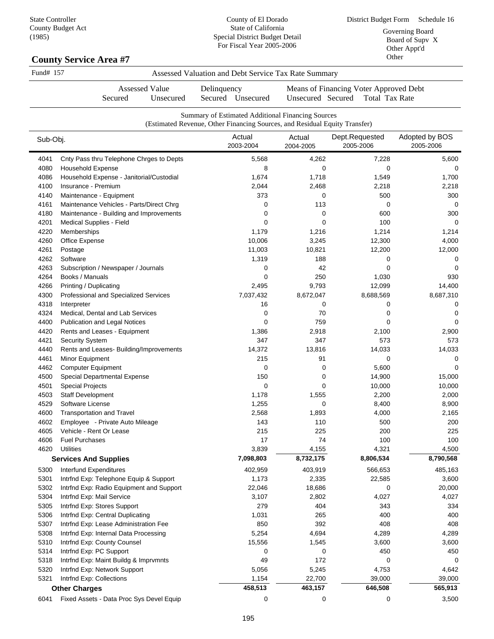### **County Service Area #7**

| Fund# 157 | Assessed Valuation and Debt Service Tax Rate Summary |
|-----------|------------------------------------------------------|
|           |                                                      |

Secured Unsecured Delinquency Secured Unsecured

Assessed Value

Means of Financing Voter Approved Debt Unsecured Secured Total Tax Rate

|          | Summary of Estimated Additional Financing Sources<br>(Estimated Revenue, Other Financing Sources, and Residual Equity Transfer) |                     |                     |                             |                             |  |
|----------|---------------------------------------------------------------------------------------------------------------------------------|---------------------|---------------------|-----------------------------|-----------------------------|--|
| Sub-Obj. |                                                                                                                                 | Actual<br>2003-2004 | Actual<br>2004-2005 | Dept.Requested<br>2005-2006 | Adopted by BOS<br>2005-2006 |  |
| 4041     | Cnty Pass thru Telephone Chrges to Depts                                                                                        | 5,568               | 4,262               | 7,228                       | 5,600                       |  |
| 4080     | <b>Household Expense</b>                                                                                                        | 8                   | 0                   | 0                           | 0                           |  |
| 4086     | Household Expense - Janitorial/Custodial                                                                                        | 1,674               | 1,718               | 1,549                       | 1,700                       |  |
| 4100     | Insurance - Premium                                                                                                             | 2,044               | 2,468               | 2,218                       | 2,218                       |  |
| 4140     | Maintenance - Equipment                                                                                                         | 373                 | 0                   | 500                         | 300                         |  |
| 4161     | Maintenance Vehicles - Parts/Direct Chrg                                                                                        | 0                   | 113                 | 0                           | $\Omega$                    |  |
| 4180     | Maintenance - Building and Improvements                                                                                         | 0                   | 0                   | 600                         | 300                         |  |
| 4201     | Medical Supplies - Field                                                                                                        | 0                   | 0                   | 100                         | 0                           |  |
| 4220     | Memberships                                                                                                                     | 1,179               | 1,216               | 1,214                       | 1,214                       |  |
| 4260     | Office Expense                                                                                                                  | 10,006              | 3,245               | 12,300                      | 4,000                       |  |
| 4261     | Postage                                                                                                                         | 11,003              | 10,821              | 12,200                      | 12,000                      |  |
| 4262     | Software                                                                                                                        | 1,319               | 188                 | 0                           | 0                           |  |
| 4263     | Subscription / Newspaper / Journals                                                                                             | 0                   | 42                  | 0                           | 0                           |  |
| 4264     | Books / Manuals                                                                                                                 | 0                   | 250                 | 1,030                       | 930                         |  |
| 4266     | Printing / Duplicating                                                                                                          | 2,495               | 9,793               | 12,099                      | 14,400                      |  |
| 4300     | Professional and Specialized Services                                                                                           | 7,037,432           | 8,672,047           | 8,688,569                   | 8,687,310                   |  |
| 4318     | Interpreter                                                                                                                     | 16                  | 0                   | 0                           | 0                           |  |
| 4324     | Medical, Dental and Lab Services                                                                                                | 0                   | 70                  | 0                           | 0                           |  |
| 4400     | Publication and Legal Notices                                                                                                   | 0                   | 759                 | $\mathbf 0$                 | 0                           |  |
| 4420     | Rents and Leases - Equipment                                                                                                    | 1,386               | 2,918               | 2,100                       | 2,900                       |  |
| 4421     | Security System                                                                                                                 | 347                 | 347                 | 573                         | 573                         |  |
| 4440     | Rents and Leases- Building/Improvements                                                                                         | 14,372              | 13,816              | 14,033                      | 14,033                      |  |
| 4461     | Minor Equipment                                                                                                                 | 215                 | 91                  | 0                           |                             |  |
| 4462     | <b>Computer Equipment</b>                                                                                                       | 0                   | 0                   | 5,600                       | $\Omega$                    |  |
| 4500     | Special Departmental Expense                                                                                                    | 150                 | 0                   | 14,900                      | 15,000                      |  |
| 4501     | <b>Special Projects</b>                                                                                                         | 0                   | 0                   | 10,000                      | 10,000                      |  |
| 4503     | <b>Staff Development</b>                                                                                                        | 1,178               | 1,555               | 2,200                       | 2,000                       |  |
| 4529     | Software License                                                                                                                | 1,255               | 0                   | 8,400                       | 8,900                       |  |
| 4600     | <b>Transportation and Travel</b>                                                                                                | 2,568               | 1,893               | 4,000                       | 2,165                       |  |
| 4602     | Employee - Private Auto Mileage                                                                                                 | 143                 | 110                 | 500                         | 200                         |  |
| 4605     | Vehicle - Rent Or Lease                                                                                                         | 215                 | 225                 | 200                         | 225                         |  |
| 4606     | <b>Fuel Purchases</b>                                                                                                           | 17                  | 74                  | 100                         | 100                         |  |
| 4620     | <b>Utilities</b>                                                                                                                | 3,839               | 4,155               | 4,321                       | 4,500                       |  |
|          | <b>Services And Supplies</b>                                                                                                    | 7,098,803           | 8,732,175           | 8,806,534                   | 8,790,568                   |  |
| 5300     | Interfund Expenditures                                                                                                          | 402,959             | 403,919             | 566,653                     | 485,163                     |  |
| 5301     | Intrfnd Exp: Telephone Equip & Support                                                                                          | 1,173               | 2,335               | 22,585                      | 3,600                       |  |
| 5302     | Intrfnd Exp: Radio Equipment and Support                                                                                        | 22,046              | 18,686              | 0                           | 20,000                      |  |
| 5304     | Intrfnd Exp: Mail Service                                                                                                       | 3,107               | 2,802               | 4,027                       | 4,027                       |  |
| 5305     | Intrfnd Exp: Stores Support                                                                                                     | 279                 | 404                 | 343                         | 334                         |  |
| 5306     | Intrfnd Exp: Central Duplicating                                                                                                | 1,031               | 265                 | 400                         | 400                         |  |
| 5307     | Intrfnd Exp: Lease Administration Fee                                                                                           | 850                 | 392                 | 408                         | 408                         |  |
| 5308     | Intrfnd Exp: Internal Data Processing                                                                                           | 5,254               | 4,694               | 4,289                       | 4,289                       |  |
| 5310     | Intrfnd Exp: County Counsel                                                                                                     | 15,556              | 1,545               | 3,600                       | 3,600                       |  |
| 5314     | Intrfnd Exp: PC Support                                                                                                         | 0                   | 0                   | 450                         | 450                         |  |
| 5318     | Intrfnd Exp: Maint Buildg & Imprvmnts                                                                                           | 49                  | 172                 | 0                           | 0                           |  |
| 5320     | Intrfnd Exp: Network Support                                                                                                    | 5,056               | 5,245               | 4,753                       | 4,642                       |  |
| 5321     | Intrfnd Exp: Collections                                                                                                        | 1,154               | 22,700              | 39,000                      | 39,000                      |  |
|          | <b>Other Charges</b>                                                                                                            | 458,513             | 463,157             | 646,508                     | 565,913                     |  |
| 6041     | Fixed Assets - Data Proc Sys Devel Equip                                                                                        | 0                   | 0                   | 0                           | 3,500                       |  |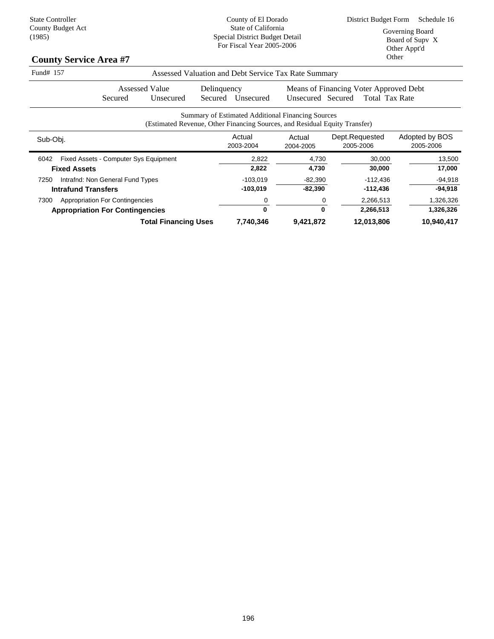| Fund# 157<br>Assessed Valuation and Debt Service Tax Rate Summary |                                        |                                                                            |             |                     |                                                   |                                        |                             |
|-------------------------------------------------------------------|----------------------------------------|----------------------------------------------------------------------------|-------------|---------------------|---------------------------------------------------|----------------------------------------|-----------------------------|
|                                                                   | Assessed Value                         |                                                                            | Delinquency |                     |                                                   | Means of Financing Voter Approved Debt |                             |
|                                                                   | Secured                                | Unsecured                                                                  | Secured     | Unsecured           | Unsecured Secured                                 | <b>Total Tax Rate</b>                  |                             |
|                                                                   |                                        | (Estimated Revenue, Other Financing Sources, and Residual Equity Transfer) |             |                     | Summary of Estimated Additional Financing Sources |                                        |                             |
| Sub-Obj.                                                          |                                        |                                                                            |             | Actual<br>2003-2004 | Actual<br>2004-2005                               | Dept.Requested<br>2005-2006            | Adopted by BOS<br>2005-2006 |
| 6042                                                              | Fixed Assets - Computer Sys Equipment  |                                                                            |             | 2,822               | 4,730                                             | 30,000                                 | 13,500                      |
|                                                                   | <b>Fixed Assets</b>                    |                                                                            |             | 2,822               | 4,730                                             | 30,000                                 | 17,000                      |
| 7250                                                              | Intrafnd: Non General Fund Types       |                                                                            |             | $-103,019$          | $-82,390$                                         | $-112,436$                             | $-94,918$                   |
|                                                                   | <b>Intrafund Transfers</b>             |                                                                            |             | $-103,019$          | $-82,390$                                         | $-112,436$                             | $-94,918$                   |
| 7300                                                              | <b>Appropriation For Contingencies</b> |                                                                            |             | 0                   | 0                                                 | 2,266,513                              | 1,326,326                   |
|                                                                   | <b>Appropriation For Contingencies</b> |                                                                            |             | $\bf{0}$            | 0                                                 | 2,266,513                              | 1,326,326                   |
|                                                                   |                                        | <b>Total Financing Uses</b>                                                |             | 7,740,346           | 9,421,872                                         | 12,013,806                             | 10,940,417                  |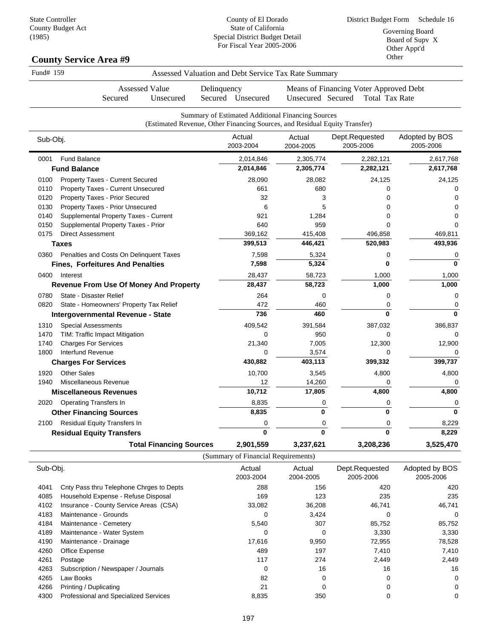# **County Service Area #9**

| Fund# 159                              |                                               |                                | Assessed Valuation and Debt Service Tax Rate Summary                                                                            |                     |                                                                 |                             |
|----------------------------------------|-----------------------------------------------|--------------------------------|---------------------------------------------------------------------------------------------------------------------------------|---------------------|-----------------------------------------------------------------|-----------------------------|
|                                        | <b>Assessed Value</b><br>Secured              | Unsecured                      | Delinquency<br>Secured Unsecured                                                                                                | Unsecured Secured   | Means of Financing Voter Approved Debt<br><b>Total Tax Rate</b> |                             |
|                                        |                                               |                                | Summary of Estimated Additional Financing Sources<br>(Estimated Revenue, Other Financing Sources, and Residual Equity Transfer) |                     |                                                                 |                             |
| Sub-Obj.                               |                                               |                                | Actual<br>2003-2004                                                                                                             | Actual<br>2004-2005 | Dept.Requested<br>2005-2006                                     | Adopted by BOS<br>2005-2006 |
| <b>Fund Balance</b><br>0001            |                                               |                                | 2,014,846                                                                                                                       | 2,305,774           | 2,282,121                                                       | 2,617,768                   |
| <b>Fund Balance</b>                    |                                               |                                | 2,014,846                                                                                                                       | 2,305,774           | 2,282,121                                                       | 2,617,768                   |
| 0100                                   | Property Taxes - Current Secured              |                                | 28,090                                                                                                                          | 28,082              | 24,125                                                          | 24,125                      |
| 0110                                   | Property Taxes - Current Unsecured            |                                | 661                                                                                                                             | 680                 | $\mathbf 0$                                                     | 0                           |
| 0120                                   | Property Taxes - Prior Secured                |                                | 32                                                                                                                              | 3                   | $\Omega$                                                        | $\Omega$                    |
| 0130                                   | Property Taxes - Prior Unsecured              |                                | 6                                                                                                                               | 5                   | $\Omega$                                                        | $\Omega$                    |
| 0140                                   | Supplemental Property Taxes - Current         |                                | 921                                                                                                                             | 1,284               | $\Omega$                                                        | $\mathbf 0$                 |
| 0150                                   | Supplemental Property Taxes - Prior           |                                | 640                                                                                                                             | 959                 | $\Omega$                                                        | $\Omega$                    |
| 0175<br><b>Direct Assessment</b>       |                                               |                                | 369,162                                                                                                                         | 415,408             | 496,858                                                         | 469,811                     |
| <b>Taxes</b>                           |                                               |                                | 399,513                                                                                                                         | 446,421             | 520,983                                                         | 493,936                     |
| 0360                                   | Penalties and Costs On Delinquent Taxes       |                                | 7,598                                                                                                                           | 5,324               | $\mathbf 0$                                                     | 0                           |
|                                        | <b>Fines, Forfeitures And Penalties</b>       |                                | 7,598                                                                                                                           | 5,324               | 0                                                               | 0                           |
| 0400<br>Interest                       |                                               |                                | 28,437                                                                                                                          | 58,723              | 1,000                                                           | 1,000                       |
|                                        | <b>Revenue From Use Of Money And Property</b> |                                | 28,437                                                                                                                          | 58,723              | 1,000                                                           | 1,000                       |
| 0780<br>State - Disaster Relief        |                                               |                                | 264                                                                                                                             | 0                   | $\mathbf 0$                                                     | 0                           |
| 0820                                   | State - Homeowners' Property Tax Relief       |                                | 472                                                                                                                             | 460                 | $\mathbf 0$                                                     | 0                           |
|                                        | Intergovernmental Revenue - State             |                                | 736                                                                                                                             | 460                 | $\mathbf{0}$                                                    | $\bf{0}$                    |
| 1310<br><b>Special Assessments</b>     |                                               |                                | 409,542                                                                                                                         | 391,584             | 387,032                                                         | 386,837                     |
| 1470<br>TIM: Traffic Impact Mitigation |                                               |                                | 0                                                                                                                               | 950                 | $\mathbf 0$                                                     | 0                           |
| 1740<br><b>Charges For Services</b>    |                                               |                                | 21,340                                                                                                                          | 7,005               | 12,300                                                          | 12,900                      |
| Interfund Revenue<br>1800              |                                               |                                | $\Omega$                                                                                                                        | 3,574               | $\Omega$                                                        | $\Omega$                    |
| <b>Charges For Services</b>            |                                               |                                | 430,882                                                                                                                         | 403,113             | 399,332                                                         | 399,737                     |
| <b>Other Sales</b><br>1920             |                                               |                                | 10,700                                                                                                                          | 3,545               | 4,800                                                           | 4,800                       |
| Miscellaneous Revenue<br>1940          |                                               |                                | 12                                                                                                                              | 14,260              | 0                                                               | 0                           |
| <b>Miscellaneous Revenues</b>          |                                               |                                | 10,712                                                                                                                          | 17,805              | 4,800                                                           | 4,800                       |
| <b>Operating Transfers In</b><br>2020  |                                               |                                | 8,835                                                                                                                           | 0                   | 0                                                               | 0                           |
| <b>Other Financing Sources</b>         |                                               |                                | 8,835                                                                                                                           | 0                   | 0                                                               | $\bf{0}$                    |
| Residual Equity Transfers In<br>2100   |                                               |                                | 0                                                                                                                               | 0                   | 0                                                               | 8,229                       |
| <b>Residual Equity Transfers</b>       |                                               |                                | 0                                                                                                                               | $\mathbf{0}$        | 0                                                               | 8,229                       |
|                                        |                                               | <b>Total Financing Sources</b> | 2,901,559                                                                                                                       | 3,237,621           | 3,208,236                                                       | 3,525,470                   |

(Summary of Financial Requirements)

| Sub-Obj. |                                          | Actual<br>2003-2004 | Actual<br>2004-2005 | Dept.Requested<br>2005-2006 | Adopted by BOS<br>2005-2006 |
|----------|------------------------------------------|---------------------|---------------------|-----------------------------|-----------------------------|
| 4041     | Cnty Pass thru Telephone Chrges to Depts | 288                 | 156                 | 420                         | 420                         |
| 4085     | Household Expense - Refuse Disposal      | 169                 | 123                 | 235                         | 235                         |
| 4102     | Insurance - County Service Areas (CSA)   | 33,082              | 36,208              | 46,741                      | 46,741                      |
| 4183     | Maintenance - Grounds                    | 0                   | 3,424               | 0                           | 0                           |
| 4184     | Maintenance - Cemetery                   | 5,540               | 307                 | 85,752                      | 85,752                      |
| 4189     | Maintenance - Water System               | 0                   | $\Omega$            | 3,330                       | 3,330                       |
| 4190     | Maintenance - Drainage                   | 17,616              | 9,950               | 72,955                      | 78,528                      |
| 4260     | Office Expense                           | 489                 | 197                 | 7,410                       | 7,410                       |
| 4261     | Postage                                  | 117                 | 274                 | 2,449                       | 2,449                       |
| 4263     | Subscription / Newspaper / Journals      | 0                   | 16                  | 16                          | 16                          |
| 4265     | Law Books                                | 82                  | $\Omega$            | 0                           | 0                           |
| 4266     | Printing / Duplicating                   | 21                  |                     |                             | 0                           |
| 4300     | Professional and Specialized Services    | 8,835               | 350                 |                             | 0                           |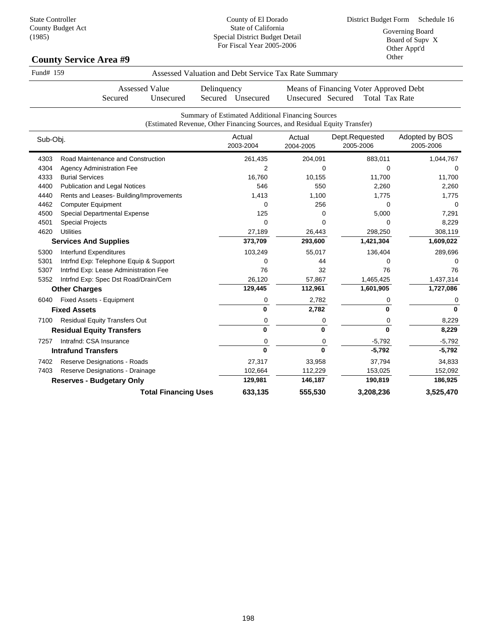| Fund# 159 |                                               | Assessed Valuation and Debt Service Tax Rate Summary                                                                            |                     |                                                                 |                             |
|-----------|-----------------------------------------------|---------------------------------------------------------------------------------------------------------------------------------|---------------------|-----------------------------------------------------------------|-----------------------------|
|           | <b>Assessed Value</b><br>Secured<br>Unsecured | Delinquency<br>Secured Unsecured                                                                                                | Unsecured Secured   | Means of Financing Voter Approved Debt<br><b>Total Tax Rate</b> |                             |
|           |                                               | Summary of Estimated Additional Financing Sources<br>(Estimated Revenue, Other Financing Sources, and Residual Equity Transfer) |                     |                                                                 |                             |
| Sub-Obj.  |                                               | Actual<br>2003-2004                                                                                                             | Actual<br>2004-2005 | Dept.Requested<br>2005-2006                                     | Adopted by BOS<br>2005-2006 |
| 4303      | Road Maintenance and Construction             | 261,435                                                                                                                         | 204,091             | 883,011                                                         | 1,044,767                   |
| 4304      | <b>Agency Administration Fee</b>              | $\overline{2}$                                                                                                                  | $\mathbf 0$         | 0                                                               |                             |
| 4333      | <b>Burial Services</b>                        | 16,760                                                                                                                          | 10,155              | 11,700                                                          | 11,700                      |
| 4400      | <b>Publication and Legal Notices</b>          | 546                                                                                                                             | 550                 | 2,260                                                           | 2,260                       |
| 4440      | Rents and Leases- Building/Improvements       | 1,413                                                                                                                           | 1,100               | 1,775                                                           | 1,775                       |
| 4462      | <b>Computer Equipment</b>                     | $\mathbf 0$                                                                                                                     | 256                 | 0                                                               | $\Omega$                    |
| 4500      | Special Departmental Expense                  | 125                                                                                                                             | 0                   | 5,000                                                           | 7,291                       |
| 4501      | <b>Special Projects</b>                       | $\mathbf 0$                                                                                                                     | $\mathbf 0$         | 0                                                               | 8,229                       |
| 4620      | <b>Utilities</b>                              | 27,189                                                                                                                          | 26,443              | 298,250                                                         | 308,119                     |
|           | <b>Services And Supplies</b>                  | 373,709                                                                                                                         | 293,600             | 1,421,304                                                       | 1,609,022                   |
| 5300      | Interfund Expenditures                        | 103,249                                                                                                                         | 55,017              | 136,404                                                         | 289,696                     |
| 5301      | Intrfnd Exp: Telephone Equip & Support        | 0                                                                                                                               | 44                  | 0                                                               | 0                           |
| 5307      | Intrfnd Exp: Lease Administration Fee         | 76                                                                                                                              | 32                  | 76                                                              | 76                          |
| 5352      | Intrfnd Exp: Spec Dst Road/Drain/Cem          | 26,120                                                                                                                          | 57,867              | 1,465,425                                                       | 1,437,314                   |
|           | <b>Other Charges</b>                          | 129,445                                                                                                                         | 112,961             | 1,601,905                                                       | 1,727,086                   |
| 6040      | <b>Fixed Assets - Equipment</b>               | 0                                                                                                                               | 2,782               | 0                                                               | 0                           |
|           | <b>Fixed Assets</b>                           | 0                                                                                                                               | 2,782               | 0                                                               | $\bf{0}$                    |
| 7100      | <b>Residual Equity Transfers Out</b>          | 0                                                                                                                               | 0                   | 0                                                               | 8,229                       |
|           | <b>Residual Equity Transfers</b>              | $\bf{0}$                                                                                                                        | 0                   | 0                                                               | 8,229                       |
| 7257      | Intrafnd: CSA Insurance                       | 0                                                                                                                               | 0                   | $-5,792$                                                        | $-5,792$                    |
|           | <b>Intrafund Transfers</b>                    | $\bf{0}$                                                                                                                        | 0                   | $-5,792$                                                        | $-5,792$                    |
| 7402      | Reserve Designations - Roads                  | 27,317                                                                                                                          | 33,958              | 37,794                                                          | 34,833                      |
| 7403      | Reserve Designations - Drainage               | 102,664                                                                                                                         | 112,229             | 153,025                                                         | 152,092                     |
|           | <b>Reserves - Budgetary Only</b>              | 129,981                                                                                                                         | 146,187             | 190,819                                                         | 186,925                     |
|           | <b>Total Financing Uses</b>                   | 633,135                                                                                                                         | 555,530             | 3,208,236                                                       | 3,525,470                   |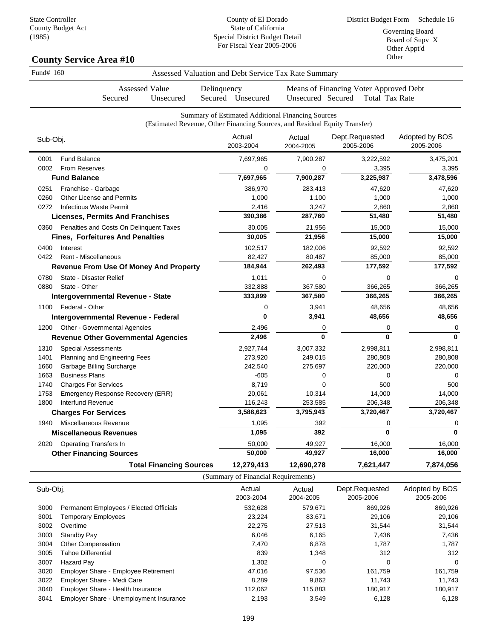|          | <b>Assessed Value</b><br>Secured<br>Unsecured | Delinquency                                                                                                                     |                     |                                                                 |                             |
|----------|-----------------------------------------------|---------------------------------------------------------------------------------------------------------------------------------|---------------------|-----------------------------------------------------------------|-----------------------------|
|          |                                               | Secured Unsecured                                                                                                               | Unsecured Secured   | Means of Financing Voter Approved Debt<br><b>Total Tax Rate</b> |                             |
|          |                                               | Summary of Estimated Additional Financing Sources<br>(Estimated Revenue, Other Financing Sources, and Residual Equity Transfer) |                     |                                                                 |                             |
| Sub-Obj. |                                               | Actual<br>2003-2004                                                                                                             | Actual<br>2004-2005 | Dept.Requested<br>2005-2006                                     | Adopted by BOS<br>2005-2006 |
| 0001     | <b>Fund Balance</b>                           | 7,697,965                                                                                                                       | 7,900,287           | 3,222,592                                                       | 3,475,201                   |
| 0002     | From Reserves                                 | 0                                                                                                                               | 0                   | 3,395                                                           | 3,395                       |
|          | <b>Fund Balance</b>                           | 7,697,965                                                                                                                       | 7,900,287           | 3,225,987                                                       | 3,478,596                   |
| 0251     | Franchise - Garbage                           | 386,970                                                                                                                         | 283,413             | 47,620                                                          | 47,620                      |
| 0260     | Other License and Permits                     | 1,000                                                                                                                           | 1,100               | 1,000                                                           | 1,000                       |
| 0272     | <b>Infectious Waste Permit</b>                | 2,416                                                                                                                           | 3,247               | 2,860                                                           | 2,860                       |
|          | <b>Licenses, Permits And Franchises</b>       | 390,386                                                                                                                         | 287,760             | 51,480                                                          | 51,480                      |
| 0360     | Penalties and Costs On Delinquent Taxes       | 30,005                                                                                                                          | 21,956              | 15,000                                                          | 15,000                      |
|          | <b>Fines, Forfeitures And Penalties</b>       | 30,005                                                                                                                          | 21,956              | 15,000                                                          | 15,000                      |
| 0400     | Interest                                      | 102,517                                                                                                                         | 182,006             | 92,592                                                          | 92,592                      |
| 0422     | <b>Rent - Miscellaneous</b>                   | 82,427                                                                                                                          | 80,487              | 85,000                                                          | 85,000                      |
|          | <b>Revenue From Use Of Money And Property</b> | 184,944                                                                                                                         | 262,493             | 177,592                                                         | 177,592                     |
| 0780     | State - Disaster Relief                       | 1,011                                                                                                                           | 0                   | 0                                                               | $\mathbf 0$                 |
| 0880     | State - Other                                 | 332,888                                                                                                                         | 367,580             | 366,265                                                         | 366,265                     |
|          | Intergovernmental Revenue - State             | 333,899                                                                                                                         | 367,580             | 366,265                                                         | 366,265                     |
| 1100     | Federal - Other                               | 0                                                                                                                               | 3,941               | 48,656                                                          | 48,656                      |
|          | Intergovernmental Revenue - Federal           | $\mathbf{0}$                                                                                                                    | 3,941               | 48,656                                                          | 48,656                      |
| 1200     | <b>Other - Governmental Agencies</b>          | 2,496                                                                                                                           | 0                   | 0                                                               | 0                           |
|          | <b>Revenue Other Governmental Agencies</b>    | 2,496                                                                                                                           | $\mathbf{0}$        | 0                                                               | $\mathbf{0}$                |
| 1310     | <b>Special Assessments</b>                    | 2,927,744                                                                                                                       | 3,007,332           | 2,998,811                                                       | 2,998,811                   |
| 1401     | Planning and Engineering Fees                 | 273,920                                                                                                                         | 249,015             | 280,808                                                         | 280,808                     |
| 1660     | Garbage Billing Surcharge                     | 242,540                                                                                                                         | 275,697             | 220,000                                                         | 220,000                     |
| 1663     | <b>Business Plans</b>                         | $-605$                                                                                                                          | 0                   | 0                                                               | $\mathbf 0$                 |
| 1740     | <b>Charges For Services</b>                   | 8,719                                                                                                                           | $\mathbf{0}$        | 500                                                             | 500                         |
| 1753     | Emergency Response Recovery (ERR)             | 20,061                                                                                                                          | 10,314              | 14,000                                                          | 14,000                      |
| 1800     | Interfund Revenue                             | 116,243                                                                                                                         | 253,585             | 206,348                                                         | 206,348                     |
|          | <b>Charges For Services</b>                   | 3,588,623                                                                                                                       | 3,795,943           | 3,720,467                                                       | 3,720,467                   |
| 1940     | Miscellaneous Revenue                         | 1,095                                                                                                                           | 392                 | 0                                                               | 0                           |
|          | <b>Miscellaneous Revenues</b>                 | 1,095                                                                                                                           | 392                 | 0                                                               | $\mathbf{0}$                |
| 2020     | Operating Transfers In                        | 50,000                                                                                                                          | 49,927              | 16,000                                                          | 16,000                      |
|          | <b>Other Financing Sources</b>                | 50,000                                                                                                                          | 49,927              | 16,000                                                          | 16,000                      |
|          | <b>Total Financing Sources</b>                | 12,279,413                                                                                                                      | 12,690,278          | 7,621,447                                                       | 7,874,056                   |

| Sub-Obj. |                                             | Actual<br>2003-2004 | Actual<br>2004-2005 | Dept.Requested<br>2005-2006 | Adopted by BOS<br>2005-2006 |
|----------|---------------------------------------------|---------------------|---------------------|-----------------------------|-----------------------------|
| 3000     | Permanent Employees / Elected Officials     | 532.628             | 579,671             | 869,926                     | 869,926                     |
| 3001     | <b>Temporary Employees</b>                  | 23.224              | 83,671              | 29.106                      | 29,106                      |
| 3002     | Overtime                                    | 22,275              | 27,513              | 31.544                      | 31,544                      |
| 3003     | Standby Pay                                 | 6,046               | 6,165               | 7,436                       | 7,436                       |
| 3004     | <b>Other Compensation</b>                   | 7.470               | 6.878               | 1,787                       | 1,787                       |
| 3005     | Tahoe Differential                          | 839                 | 1.348               | 312                         | 312                         |
| 3007     | Hazard Pay                                  | 1,302               | 0                   | 0                           | 0                           |
| 3020     | <b>Employer Share - Employee Retirement</b> | 47,016              | 97,536              | 161.759                     | 161,759                     |
| 3022     | Employer Share - Medi Care                  | 8,289               | 9.862               | 11.743                      | 11.743                      |
| 3040     | Employer Share - Health Insurance           | 112,062             | 115,883             | 180,917                     | 180,917                     |
| 3041     | Employer Share - Unemployment Insurance     | 2,193               | 3.549               | 6,128                       | 6,128                       |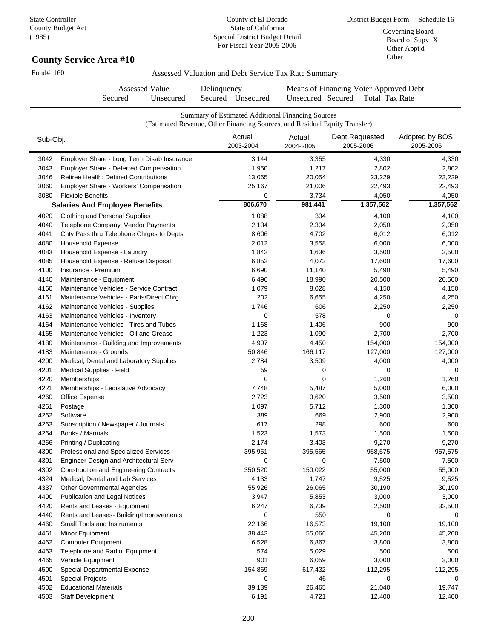County of El Dorado State of California Special District Budget Detail

| (190)        | <b>County Service Area #10</b>                                                  | Special District Budget Detail<br>For Fiscal Year 2005-2006                                       |                     |                                                                 | Board of Supv X<br>Other Appt'd<br>Other |
|--------------|---------------------------------------------------------------------------------|---------------------------------------------------------------------------------------------------|---------------------|-----------------------------------------------------------------|------------------------------------------|
| Fund# 160    |                                                                                 | Assessed Valuation and Debt Service Tax Rate Summary                                              |                     |                                                                 |                                          |
|              | <b>Assessed Value</b><br>Secured<br>Unsecured                                   | Delinquency<br>Secured Unsecured                                                                  | Unsecured Secured   | Means of Financing Voter Approved Debt<br><b>Total Tax Rate</b> |                                          |
|              |                                                                                 | Summary of Estimated Additional Financing Sources                                                 |                     |                                                                 |                                          |
| Sub-Obj.     |                                                                                 | (Estimated Revenue, Other Financing Sources, and Residual Equity Transfer)<br>Actual<br>2003-2004 | Actual<br>2004-2005 | Dept.Requested<br>2005-2006                                     | Adopted by BOS<br>2005-2006              |
| 3042         | Employer Share - Long Term Disab Insurance                                      | 3,144                                                                                             | 3,355               | 4,330                                                           | 4,330                                    |
| 3043         | <b>Employer Share - Deferred Compensation</b>                                   | 1,950                                                                                             | 1,217               | 2,802                                                           | 2,802                                    |
| 3046         | Retiree Health: Defined Contributions                                           | 13,065                                                                                            | 20,054              | 23,229                                                          | 23,229                                   |
| 3060         | Employer Share - Workers' Compensation                                          | 25,167                                                                                            | 21,006              | 22,493                                                          | 22,493                                   |
| 3080         | <b>Flexible Benefits</b>                                                        | 0                                                                                                 | 3,734               | 4,050                                                           | 4,050                                    |
|              | <b>Salaries And Employee Benefits</b>                                           | 806,670                                                                                           | 981,441             | 1,357,562                                                       | 1,357,562                                |
| 4020         | Clothing and Personal Supplies                                                  | 1,088                                                                                             | 334                 | 4,100                                                           | 4,100                                    |
| 4040         | Telephone Company Vendor Payments                                               | 2,134                                                                                             | 2,334               | 2,050                                                           | 2,050                                    |
| 4041         | Cnty Pass thru Telephone Chrges to Depts                                        | 8,606                                                                                             | 4,702               | 6,012                                                           | 6,012                                    |
| 4080         | <b>Household Expense</b>                                                        | 2,012                                                                                             | 3,558               | 6,000                                                           | 6,000                                    |
| 4083         | Household Expense - Laundry                                                     | 1,842                                                                                             | 1,636               | 3,500                                                           | 3,500                                    |
| 4085         | Household Expense - Refuse Disposal                                             | 6,852                                                                                             | 4,073               | 17,600                                                          | 17,600                                   |
| 4100         | Insurance - Premium                                                             | 6,690                                                                                             | 11,140              | 5,490                                                           | 5,490                                    |
| 4140         | Maintenance - Equipment                                                         | 6,496                                                                                             | 18,990              | 20,500                                                          | 20,500                                   |
| 4160         | Maintenance Vehicles - Service Contract                                         | 1,079                                                                                             | 8,028               | 4,150                                                           | 4,150                                    |
| 4161         | Maintenance Vehicles - Parts/Direct Chrg                                        | 202                                                                                               | 6,655               | 4,250                                                           | 4,250                                    |
| 4162         | Maintenance Vehicles - Supplies                                                 | 1,746                                                                                             | 606                 | 2,250                                                           | 2,250                                    |
| 4163         | Maintenance Vehicles - Inventory                                                | 0                                                                                                 | 578                 | 0                                                               | 0                                        |
| 4164         | Maintenance Vehicles - Tires and Tubes                                          | 1,168                                                                                             | 1,406               | 900                                                             | 900                                      |
| 4165         | Maintenance Vehicles - Oil and Grease                                           | 1,223                                                                                             | 1,090               | 2,700                                                           | 2,700                                    |
| 4180         | Maintenance - Building and Improvements                                         | 4,907                                                                                             | 4,450               | 154,000                                                         | 154,000                                  |
| 4183         | Maintenance - Grounds                                                           | 50,846                                                                                            | 166,117             | 127,000                                                         | 127,000                                  |
| 4200         | Medical, Dental and Laboratory Supplies                                         | 2,784                                                                                             | 3,509               | 4,000                                                           | 4,000                                    |
| 4201         | Medical Supplies - Field                                                        | 59                                                                                                | 0                   | 0                                                               | $\Omega$                                 |
| 4220         | Memberships                                                                     | 0                                                                                                 | 0                   | 1,260                                                           | 1,260                                    |
| 4221         | Memberships - Legislative Advocacy                                              | 7,748                                                                                             | 5,487               | 5,000                                                           | 6,000                                    |
| 4260         | Office Expense                                                                  | 2,723                                                                                             | 3,620               | 3,500                                                           | 3,500                                    |
| 4261         | Postage                                                                         | 1,097                                                                                             | 5,712               | 1,300                                                           | 1,300                                    |
| 4262         | Software                                                                        | 389                                                                                               | 669                 | 2,900                                                           | 2,900                                    |
| 4263         | Subscription / Newspaper / Journals                                             | 617                                                                                               | 298                 | 600                                                             | 600                                      |
| 4264         | Books / Manuals                                                                 | 1,523                                                                                             | 1,573               | 1,500                                                           | 1,500                                    |
| 4266         | Printing / Duplicating                                                          | 2,174                                                                                             | 3,403               | 9,270                                                           | 9,270                                    |
| 4300         | Professional and Specialized Services<br>Engineer Design and Architectural Serv | 395,951                                                                                           | 395,565             | 958,575                                                         | 957,575                                  |
| 4301<br>4302 | <b>Construction and Engineering Contracts</b>                                   | 0<br>350,520                                                                                      | 0<br>150,022        | 7,500<br>55,000                                                 | 7,500<br>55,000                          |
| 4324         | Medical, Dental and Lab Services                                                | 4,133                                                                                             | 1,747               | 9,525                                                           |                                          |
| 4337         | <b>Other Governmental Agencies</b>                                              | 55,926                                                                                            | 26,065              | 30,190                                                          | 9,525<br>30,190                          |
| 4400         | <b>Publication and Legal Notices</b>                                            | 3,947                                                                                             | 5,853               | 3,000                                                           | 3,000                                    |
| 4420         | Rents and Leases - Equipment                                                    | 6,247                                                                                             | 6,739               | 2,500                                                           | 32,500                                   |
| 4440         | Rents and Leases- Building/Improvements                                         | 0                                                                                                 | 550                 | $\mathbf 0$                                                     | 0                                        |
| 4460         | Small Tools and Instruments                                                     | 22,166                                                                                            | 16,573              | 19,100                                                          | 19,100                                   |
| 4461         | Minor Equipment                                                                 | 38,443                                                                                            | 55,066              | 45,200                                                          | 45,200                                   |
| 4462         | <b>Computer Equipment</b>                                                       | 6,528                                                                                             | 6,867               | 3,800                                                           | 3,800                                    |
| 4463         | Telephone and Radio Equipment                                                   | 574                                                                                               | 5,029               | 500                                                             | 500                                      |

4465 Vehicle Equipment 3,000 3,000 3,000 3,000 3,000 3,000 3,000 3,000 3,000 3,000 3,000 3,000 3,000 3,000 3,000 4500 Special Departmental Expense 154,869 617,432 112,295 112,295 4501 Special Projects 0 46 0 0 4502 Educational Materials 39,139 26,465 21,040 19,747 4503 Staff Development 12,400 12,400 12,400 12,400 12,400 12,400 12,400 12,400 12,400 12,400 12,400 12,400 12,400 12,400 12,400 12,400 12,400 12,400 12,400 12,400 12,400 12,400 12,400 12,400 12,400 12,400 12,400 12,400 12,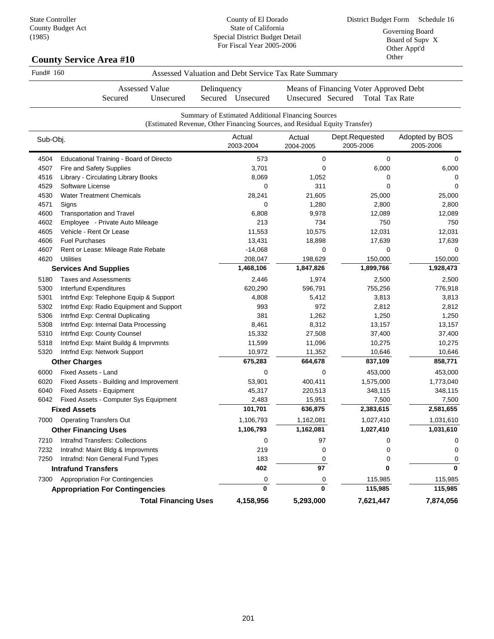District Budget Form Schedule 16 Governing Board Board of Supv X Other Appt'd Other

| Fund# 160                                                |                                                                                    | Assessed Valuation and Debt Service Tax Rate Summary                                                                            |                      |                                                                 |                             |
|----------------------------------------------------------|------------------------------------------------------------------------------------|---------------------------------------------------------------------------------------------------------------------------------|----------------------|-----------------------------------------------------------------|-----------------------------|
|                                                          | <b>Assessed Value</b><br>Unsecured<br>Secured                                      | Delinquency<br>Secured Unsecured                                                                                                | Unsecured Secured    | Means of Financing Voter Approved Debt<br><b>Total Tax Rate</b> |                             |
|                                                          |                                                                                    | Summary of Estimated Additional Financing Sources<br>(Estimated Revenue, Other Financing Sources, and Residual Equity Transfer) |                      |                                                                 |                             |
| Sub-Obj.                                                 |                                                                                    | Actual<br>2003-2004                                                                                                             | Actual<br>2004-2005  | Dept.Requested<br>2005-2006                                     | Adopted by BOS<br>2005-2006 |
| 4504                                                     | Educational Training - Board of Directo                                            | 573                                                                                                                             | 0                    | 0                                                               | 0                           |
| 4507<br>Fire and Safety Supplies                         |                                                                                    | 3,701                                                                                                                           | 0                    | 6,000                                                           | 6,000                       |
| 4516<br>Library - Circulating Library Books              |                                                                                    | 8,069                                                                                                                           | 1,052                | 0                                                               | 0                           |
| Software License<br>4529                                 |                                                                                    | 0                                                                                                                               | 311                  | 0                                                               | 0                           |
| <b>Water Treatment Chemicals</b><br>4530                 |                                                                                    | 28,241                                                                                                                          | 21,605               | 25,000                                                          | 25,000                      |
| 4571<br>Signs                                            |                                                                                    | 0                                                                                                                               | 1,280                | 2,800                                                           | 2,800                       |
| 4600<br><b>Transportation and Travel</b>                 |                                                                                    | 6,808                                                                                                                           | 9,978                | 12,089                                                          | 12,089                      |
| 4602<br>Employee - Private Auto Mileage                  |                                                                                    | 213                                                                                                                             | 734                  | 750                                                             | 750                         |
| Vehicle - Rent Or Lease<br>4605                          |                                                                                    | 11,553                                                                                                                          | 10,575               | 12,031                                                          | 12,031                      |
| <b>Fuel Purchases</b><br>4606                            |                                                                                    | 13,431                                                                                                                          | 18,898               | 17,639                                                          | 17,639                      |
| 4607                                                     | Rent or Lease: Mileage Rate Rebate                                                 | $-14,068$                                                                                                                       | 0                    | 0                                                               | 0                           |
| 4620<br><b>Utilities</b><br><b>Services And Supplies</b> |                                                                                    | 208,047<br>1,468,106                                                                                                            | 198,629<br>1,847,826 | 150,000<br>1,899,766                                            | 150,000<br>1,928,473        |
|                                                          |                                                                                    |                                                                                                                                 |                      |                                                                 |                             |
| 5180<br><b>Taxes and Assessments</b>                     |                                                                                    | 2,446                                                                                                                           | 1,974                | 2,500                                                           | 2,500                       |
| 5300<br>Interfund Expenditures<br>5301                   |                                                                                    | 620,290<br>4,808                                                                                                                | 596,791              | 755,256                                                         | 776,918                     |
| 5302                                                     | Intrfnd Exp: Telephone Equip & Support<br>Intrfnd Exp: Radio Equipment and Support | 993                                                                                                                             | 5,412<br>972         | 3,813<br>2,812                                                  | 3,813<br>2,812              |
| Intrfnd Exp: Central Duplicating<br>5306                 |                                                                                    | 381                                                                                                                             | 1,262                | 1,250                                                           | 1,250                       |
| 5308                                                     | Intrfnd Exp: Internal Data Processing                                              | 8,461                                                                                                                           | 8,312                | 13,157                                                          | 13,157                      |
| 5310<br>Intrfnd Exp: County Counsel                      |                                                                                    | 15,332                                                                                                                          | 27,508               | 37,400                                                          | 37,400                      |
| 5318                                                     | Intrfnd Exp: Maint Buildg & Imprvmnts                                              | 11,599                                                                                                                          | 11,096               | 10,275                                                          | 10,275                      |
| 5320<br>Intrfnd Exp: Network Support                     |                                                                                    | 10,972                                                                                                                          | 11,352               | 10,646                                                          | 10,646                      |
| <b>Other Charges</b>                                     |                                                                                    | 675,283                                                                                                                         | 664,678              | 837,109                                                         | 858,771                     |
| 6000<br>Fixed Assets - Land                              |                                                                                    | 0                                                                                                                               | 0                    | 453,000                                                         | 453,000                     |
| 6020                                                     | Fixed Assets - Building and Improvement                                            | 53,901                                                                                                                          | 400,411              | 1,575,000                                                       | 1,773,040                   |
| 6040<br>Fixed Assets - Equipment                         |                                                                                    | 45,317                                                                                                                          | 220,513              | 348,115                                                         | 348,115                     |
| 6042                                                     | Fixed Assets - Computer Sys Equipment                                              | 2,483                                                                                                                           | 15,951               | 7,500                                                           | 7,500                       |
| <b>Fixed Assets</b>                                      |                                                                                    | 101,701                                                                                                                         | 636,875              | 2,383,615                                                       | 2,581,655                   |
| <b>Operating Transfers Out</b><br>7000                   |                                                                                    | 1,106,793                                                                                                                       | 1,162,081            | 1,027,410                                                       | 1,031,610                   |
| <b>Other Financing Uses</b>                              |                                                                                    | 1,106,793                                                                                                                       | 1,162,081            | 1,027,410                                                       | 1,031,610                   |
| <b>Intrafnd Transfers: Collections</b><br>7210           |                                                                                    | 0                                                                                                                               | 97                   | 0                                                               | 0                           |
| Intrafnd: Maint Bldg & Improvmnts<br>7232                |                                                                                    | 219                                                                                                                             | 0                    | 0                                                               | 0                           |
| 7250<br>Intrafnd: Non General Fund Types                 |                                                                                    | 183                                                                                                                             | 0                    | 0                                                               | 0                           |
| <b>Intrafund Transfers</b>                               |                                                                                    | 402                                                                                                                             | 97                   | 0                                                               | 0                           |
| <b>Appropriation For Contingencies</b><br>7300           |                                                                                    | 0                                                                                                                               | 0                    | 115,985                                                         | 115,985                     |
| <b>Appropriation For Contingencies</b>                   |                                                                                    | $\mathbf{0}$                                                                                                                    | $\mathbf{0}$         | 115,985                                                         | 115,985                     |
|                                                          | <b>Total Financing Uses</b>                                                        | 4,158,956                                                                                                                       | 5,293,000            | 7,621,447                                                       | 7,874,056                   |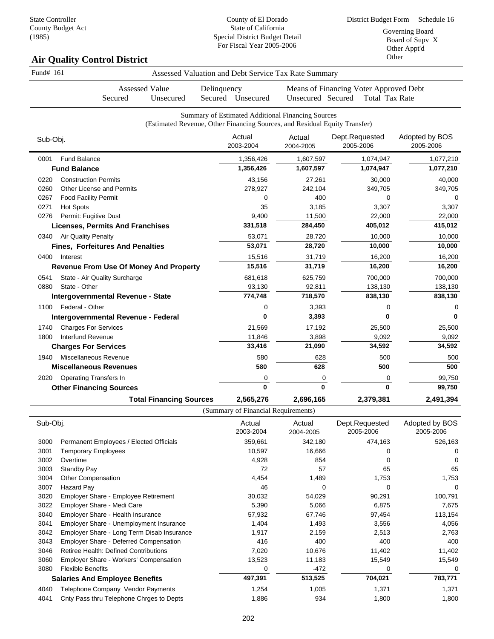District Budget Form Schedule 16 Governing Board Board of Supv X Other Appt'd Other

# **Air Quality Control District**

| Fund# 161 |                                               | Assessed Valuation and Debt Service Tax Rate Summary                                                                            |                     |                                                                 |                             |
|-----------|-----------------------------------------------|---------------------------------------------------------------------------------------------------------------------------------|---------------------|-----------------------------------------------------------------|-----------------------------|
|           | <b>Assessed Value</b><br>Secured<br>Unsecured | Delinquency<br>Secured Unsecured                                                                                                | Unsecured Secured   | Means of Financing Voter Approved Debt<br><b>Total Tax Rate</b> |                             |
|           |                                               |                                                                                                                                 |                     |                                                                 |                             |
|           |                                               | Summary of Estimated Additional Financing Sources<br>(Estimated Revenue, Other Financing Sources, and Residual Equity Transfer) |                     |                                                                 |                             |
| Sub-Obj.  |                                               | Actual<br>2003-2004                                                                                                             | Actual<br>2004-2005 | Dept.Requested<br>2005-2006                                     | Adopted by BOS<br>2005-2006 |
| 0001      | <b>Fund Balance</b>                           | 1,356,426                                                                                                                       | 1,607,597           | 1,074,947                                                       | 1,077,210                   |
|           | <b>Fund Balance</b>                           | 1,356,426                                                                                                                       | 1,607,597           | 1,074,947                                                       | 1,077,210                   |
| 0220      | <b>Construction Permits</b>                   | 43,156                                                                                                                          | 27,261              | 30,000                                                          | 40,000                      |
| 0260      | <b>Other License and Permits</b>              | 278,927                                                                                                                         | 242,104             | 349,705                                                         | 349,705                     |
| 0267      | <b>Food Facility Permit</b>                   | 0                                                                                                                               | 400                 | 0                                                               | $\Omega$                    |
| 0271      | <b>Hot Spots</b>                              | 35                                                                                                                              | 3,185               | 3,307                                                           | 3,307                       |
| 0276      | Permit: Fugitive Dust                         | 9,400                                                                                                                           | 11,500              | 22,000                                                          | 22,000                      |
|           | <b>Licenses, Permits And Franchises</b>       | 331,518                                                                                                                         | 284,450             | 405,012                                                         | 415,012                     |
|           | 0340 Air Quality Penalty                      | 53,071                                                                                                                          | 28,720              | 10,000                                                          | 10,000                      |
|           | <b>Fines, Forfeitures And Penalties</b>       | 53,071                                                                                                                          | 28,720              | 10,000                                                          | 10,000                      |
|           | 0400 Interest                                 | 15,516                                                                                                                          | 31,719              | 16,200                                                          | 16,200                      |
|           | <b>Revenue From Use Of Money And Property</b> | 15,516                                                                                                                          | 31,719              | 16,200                                                          | 16,200                      |
| 0541      | State - Air Quality Surcharge                 | 681,618                                                                                                                         | 625,759             | 700,000                                                         | 700,000                     |
| 0880      | State - Other                                 | 93,130                                                                                                                          | 92,811              | 138,130                                                         | 138,130                     |
|           | Intergovernmental Revenue - State             | 774,748                                                                                                                         | 718,570             | 838,130                                                         | 838,130                     |
|           | 1100 Federal - Other                          | 0                                                                                                                               | 3,393               | 0                                                               | 0                           |
|           | Intergovernmental Revenue - Federal           | $\bf{0}$                                                                                                                        | 3,393               | $\Omega$                                                        | $\bf{0}$                    |
| 1740      | <b>Charges For Services</b>                   | 21,569                                                                                                                          | 17,192              | 25,500                                                          | 25,500                      |
| 1800      | Interfund Revenue                             | 11,846                                                                                                                          | 3,898               | 9,092                                                           | 9,092                       |
|           | <b>Charges For Services</b>                   | 33,416                                                                                                                          | 21,090              | 34,592                                                          | 34,592                      |
| 1940      | Miscellaneous Revenue                         | 580                                                                                                                             | 628                 | 500                                                             | 500                         |
|           | <b>Miscellaneous Revenues</b>                 | 580                                                                                                                             | 628                 | 500                                                             | 500                         |
| 2020      | <b>Operating Transfers In</b>                 | 0                                                                                                                               | 0                   | 0                                                               | 99,750                      |
|           | <b>Other Financing Sources</b>                | $\mathbf{0}$                                                                                                                    | $\mathbf{0}$        | $\mathbf{0}$                                                    | 99,750                      |
|           | <b>Total Financing Sources</b>                | 2,565,276                                                                                                                       | 2,696,165           | 2,379,381                                                       | 2,491,394                   |
|           |                                               | (Summary of Financial Requirements)                                                                                             |                     |                                                                 |                             |
| Sub-Obj.  |                                               | Actual                                                                                                                          | Actual              | Dept.Requested                                                  | Adopted by BOS              |
|           |                                               |                                                                                                                                 |                     |                                                                 |                             |

| Sub-Obj. |                                                | Actual<br>2003-2004 | Actual<br>2004-2005 | Dept.Requested<br>2005-2006 | Adopted by BOS<br>2005-2006 |
|----------|------------------------------------------------|---------------------|---------------------|-----------------------------|-----------------------------|
| 3000     | Permanent Employees / Elected Officials        | 359,661             | 342,180             | 474,163                     | 526,163                     |
| 3001     | Temporary Employees                            | 10,597              | 16,666              | 0                           | 0                           |
| 3002     | Overtime                                       | 4,928               | 854                 | 0                           | 0                           |
| 3003     | Standby Pay                                    | 72                  | 57                  | 65                          | 65                          |
| 3004     | <b>Other Compensation</b>                      | 4,454               | 1,489               | 1,753                       | 1,753                       |
| 3007     | Hazard Pay                                     | 46                  | $\Omega$            | 0                           | 0                           |
| 3020     | Employer Share - Employee Retirement           | 30,032              | 54,029              | 90,291                      | 100,791                     |
| 3022     | Employer Share - Medi Care                     | 5,390               | 5,066               | 6,875                       | 7,675                       |
| 3040     | Employer Share - Health Insurance              | 57,932              | 67,746              | 97,454                      | 113,154                     |
| 3041     | <b>Employer Share - Unemployment Insurance</b> | 1,404               | 1,493               | 3,556                       | 4,056                       |
| 3042     | Employer Share - Long Term Disab Insurance     | 1,917               | 2,159               | 2,513                       | 2,763                       |
| 3043     | <b>Employer Share - Deferred Compensation</b>  | 416                 | 400                 | 400                         | 400                         |
| 3046     | <b>Retiree Health: Defined Contributions</b>   | 7,020               | 10,676              | 11,402                      | 11,402                      |
| 3060     | <b>Employer Share - Workers' Compensation</b>  | 13,523              | 11,183              | 15,549                      | 15,549                      |
| 3080     | <b>Flexible Benefits</b>                       | 0                   | $-472$              | 0                           | 0                           |
|          | <b>Salaries And Employee Benefits</b>          | 497,391             | 513,525             | 704,021                     | 783,771                     |
| 4040     | Telephone Company Vendor Payments              | 1,254               | 1,005               | 1,371                       | 1,371                       |
| 4041     | Cnty Pass thru Telephone Chrges to Depts       | 1,886               | 934                 | 1,800                       | 1,800                       |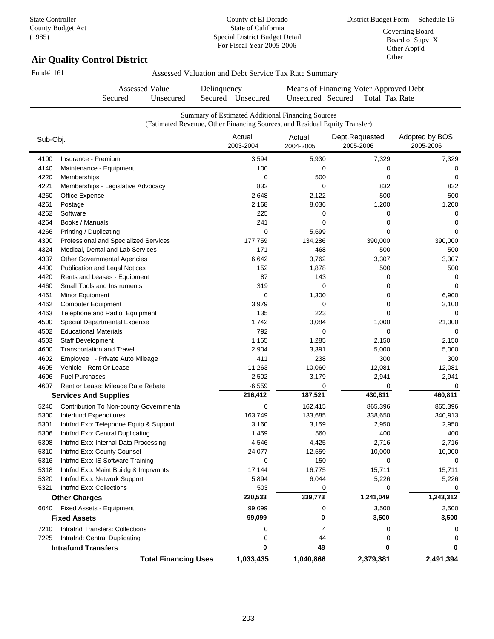District Budget Form Schedule 16 Governing Board Board of Supv X Other Appt'd Other

# **Air Quality Control District**

|              | Assessed Value<br>Secured<br>Unsecured                   | Delinquency<br>Secured Unsecured                                                                                                | Unsecured Secured   | Means of Financing Voter Approved Debt<br><b>Total Tax Rate</b> |                             |
|--------------|----------------------------------------------------------|---------------------------------------------------------------------------------------------------------------------------------|---------------------|-----------------------------------------------------------------|-----------------------------|
|              |                                                          | Summary of Estimated Additional Financing Sources<br>(Estimated Revenue, Other Financing Sources, and Residual Equity Transfer) |                     |                                                                 |                             |
| Sub-Obj.     |                                                          | Actual<br>2003-2004                                                                                                             | Actual<br>2004-2005 | Dept.Requested<br>2005-2006                                     | Adopted by BOS<br>2005-2006 |
| 4100         | Insurance - Premium                                      | 3,594                                                                                                                           | 5,930               | 7,329                                                           | 7,329                       |
| 4140         | Maintenance - Equipment                                  | 100                                                                                                                             | 0                   | 0                                                               | 0                           |
| 4220         | <b>Memberships</b>                                       | 0                                                                                                                               | 500                 | 0                                                               | 0                           |
| 4221         | Memberships - Legislative Advocacy                       | 832                                                                                                                             | 0                   | 832                                                             | 832                         |
| 4260         | Office Expense                                           | 2,648                                                                                                                           | 2,122               | 500                                                             | 500                         |
| 4261         | Postage                                                  | 2,168                                                                                                                           | 8,036               | 1,200                                                           | 1,200                       |
| 4262         | Software                                                 | 225                                                                                                                             | 0                   | 0                                                               | 0                           |
| 4264         | Books / Manuals                                          | 241                                                                                                                             | 0                   | 0                                                               | 0                           |
| 4266         | Printing / Duplicating                                   | 0                                                                                                                               | 5,699               | 0                                                               | 0                           |
| 4300         | Professional and Specialized Services                    | 177,759                                                                                                                         | 134,286             | 390,000                                                         | 390,000                     |
| 4324         | Medical, Dental and Lab Services                         | 171                                                                                                                             | 468                 | 500                                                             | 500                         |
| 4337         | <b>Other Governmental Agencies</b>                       | 6,642                                                                                                                           | 3,762               | 3,307                                                           | 3,307                       |
| 4400         | Publication and Legal Notices                            | 152                                                                                                                             | 1,878               | 500                                                             | 500                         |
| 4420         | Rents and Leases - Equipment                             | 87                                                                                                                              | 143                 | 0                                                               | 0                           |
| 4460         | <b>Small Tools and Instruments</b>                       | 319                                                                                                                             | 0                   | 0                                                               | 0                           |
| 4461         | Minor Equipment                                          | 0                                                                                                                               | 1,300               | 0                                                               | 6,900                       |
| 4462         | <b>Computer Equipment</b>                                | 3,979                                                                                                                           | 0                   | 0                                                               | 3,100                       |
| 4463         | Telephone and Radio Equipment                            | 135                                                                                                                             | 223                 | 0                                                               | 0                           |
| 4500         | Special Departmental Expense                             | 1,742                                                                                                                           | 3,084               | 1,000                                                           | 21,000                      |
| 4502         | <b>Educational Materials</b>                             | 792                                                                                                                             | 0                   | 0                                                               | 0                           |
| 4503         | <b>Staff Development</b>                                 | 1,165                                                                                                                           | 1,285               | 2,150                                                           | 2,150                       |
| 4600         | Transportation and Travel                                | 2,904                                                                                                                           | 3,391               | 5,000                                                           | 5,000                       |
| 4602         | Employee - Private Auto Mileage                          | 411                                                                                                                             | 238                 | 300                                                             | 300                         |
| 4605         | Vehicle - Rent Or Lease                                  | 11,263                                                                                                                          | 10,060              | 12,081                                                          | 12,081                      |
| 4606         | <b>Fuel Purchases</b>                                    | 2,502                                                                                                                           | 3,179               | 2,941                                                           | 2,941                       |
| 4607         | Rent or Lease: Mileage Rate Rebate                       | $-6,559$<br>216,412                                                                                                             | 0                   | 0<br>430,811                                                    | 0                           |
|              | <b>Services And Supplies</b>                             |                                                                                                                                 | 187,521             |                                                                 | 460,811                     |
| 5240         | Contribution To Non-county Governmental                  | 0                                                                                                                               | 162,415             | 865,396                                                         | 865,396                     |
| 5300         | Interfund Expenditures                                   | 163,749                                                                                                                         | 133,685             | 338,650                                                         | 340,913                     |
| 5301         | Intrfnd Exp: Telephone Equip & Support                   | 3,160                                                                                                                           | 3,159               | 2,950                                                           | 2,950                       |
| 5306         | Intrfnd Exp: Central Duplicating                         | 1,459                                                                                                                           | 560                 | 400                                                             | 400                         |
| 5308         | Intrfnd Exp: Internal Data Processing                    | 4,546                                                                                                                           | 4,425               | 2,716                                                           | 2,716                       |
| 5310         | Intrfnd Exp: County Counsel                              | 24,077                                                                                                                          | 12,559              | 10,000                                                          | 10,000                      |
| 5316         | Intrfnd Exp: IS Software Training                        | 0                                                                                                                               | 150                 | 0                                                               | 0                           |
| 5318         | Intrfnd Exp: Maint Buildg & Imprvmnts                    | 17,144                                                                                                                          | 16,775              | 15,711                                                          | 15,711                      |
| 5320<br>5321 | Intrfnd Exp: Network Support<br>Intrfnd Exp: Collections | 5,894<br>503                                                                                                                    | 6,044               | 5,226                                                           | 5,226                       |
|              |                                                          |                                                                                                                                 | 0                   | 0                                                               | 0<br>1,243,312              |
|              | <b>Other Charges</b>                                     | 220,533                                                                                                                         | 339,773             | 1,241,049                                                       |                             |
| 6040         | Fixed Assets - Equipment                                 | 99,099                                                                                                                          | 0                   | 3,500                                                           | 3,500                       |
|              | <b>Fixed Assets</b>                                      | 99,099                                                                                                                          | 0                   | 3,500                                                           | 3,500                       |
| 7210         | Intrafnd Transfers: Collections                          | 0                                                                                                                               | 4                   | 0                                                               | 0                           |
| 7225         | Intrafnd: Central Duplicating                            | 0                                                                                                                               | 44                  | 0                                                               | 0                           |
|              | <b>Intrafund Transfers</b>                               | 0                                                                                                                               | 48                  | $\bf{0}$                                                        | $\bf{0}$                    |
|              | <b>Total Financing Uses</b>                              | 1,033,435                                                                                                                       | 1,040,866           | 2,379,381                                                       | 2,491,394                   |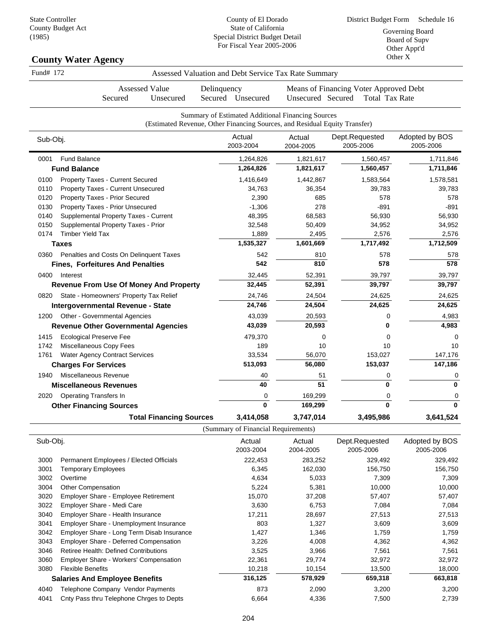#### **County Water Agency** Sub-Obj. Fund# 172 Assessed Valuation and Debt Service Tax Rate Summary Assessed Value Secured Unsecured Delinquency Secured Unsecured Means of Financing Voter Approved Debt Unsecured Secured Total Tax Rate Summary of Estimated Additional Financing Sources (Estimated Revenue, Other Financing Sources, and Residual Equity Transfer) Actual Dept.Requested 2003-2004 Actual 2004-2005 2005-2006 Adopted by BOS 2005-2006 0001 Fund Balance 1,211,846 1,264,826 1,821,617 1,560,457 1,711,846 **Fund Balance 1,264,826 1,821,617 1,560,457 1,711,846** 0100 Property Taxes - Current Secured 1,416,649 1,416,649 1,442,867 1,583,564 1,578,581 0110 Property Taxes - Current Unsecured 29,763 34,763 39,783 39,783 39,783 39,783 0120 Property Taxes - Prior Secured and the control of the control of the control of the control of the control of the control of the control of the control of the control of the control of the control of the control of th 0130 Property Taxes - Prior Unsecured -1,306 278 -891 -891 0140 Supplemental Property Taxes - Current 48,395 68,583 56,930 56,930 56,930 0150 Supplemental Property Taxes - Prior 38 (1992) 32,548 50,409 34,952 34,952 34,952 0174 Timber Yield Tax 2,576 2,576 2,576 2,576 2,576 2,576 2,576 2,576 2,576 2,576 2,576 2,576 2,576 2,576 2,576 **Taxes 1,535,327 1,601,669 1,717,492 1,712,509** 0360 Penalties and Costs On Delinquent Taxes 642 542 810 578 578 578 578 **Fines, Forfeitures And Penalties 542 810 578 578** 0400 Interest 39,797 39,797 39,797 39,797 39,797 39,797 39,797 39,797 39,797 39,797 39,797 39,797 39,797 39,797 **Revenue From Use Of Money And Property 32,445 52,391 39,797 39,797** 0820 State - Homeowners' Property Tax Relief 24,746 24,504 24,625 24,625 **Intergovernmental Revenue - State 24,746 24,504 24,625 24,625** 1200 Other - Governmental Agencies 1983 13.039 13.039 20,593 13.039 20,593 0 4,983 **Revenue Other Governmental Agencies 43,039 20,593 0 4,983** 1415 Ecological Preserve Fee 479,370 0 0 0 1742 Miscellaneous Copy Fees 189 189 10 10 10 10 10 1761 Water Agency Contract Services 33,534 56,070 153,027 147,176 **Charges For Services 513,093 56,080 153,037 147,186** 1940 Miscellaneous Revenue 1940 and the settlement of the settlement of the settlement of the settlement of the settlement of the settlement of the settlement of the settlement of the settlement of the settlement of the se **Miscellaneous Revenues 40 51 0 0** 2020 Operating Transfers In 0 169,299 0 0 **Other Financing Sources 0 169,299 0 0 Total Financing Sources 3,414,058 3,747,014 3,495,986 3,641,524**  $(S<sub>unmonon</sub>, of  $F<sub>innon</sub>$  is a  $R<sub>nonionon</sub>$$

|          |                                                | (Sunnial y Of Financial Requirements) |                     |                             |                             |
|----------|------------------------------------------------|---------------------------------------|---------------------|-----------------------------|-----------------------------|
| Sub-Obj. |                                                | Actual<br>2003-2004                   | Actual<br>2004-2005 | Dept.Requested<br>2005-2006 | Adopted by BOS<br>2005-2006 |
| 3000     | Permanent Employees / Elected Officials        | 222,453                               | 283,252             | 329,492                     | 329,492                     |
| 3001     | Temporary Employees                            | 6,345                                 | 162,030             | 156,750                     | 156,750                     |
| 3002     | Overtime                                       | 4,634                                 | 5,033               | 7,309                       | 7,309                       |
| 3004     | Other Compensation                             | 5,224                                 | 5,381               | 10,000                      | 10,000                      |
| 3020     | <b>Employer Share - Employee Retirement</b>    | 15,070                                | 37,208              | 57,407                      | 57,407                      |
| 3022     | Employer Share - Medi Care                     | 3,630                                 | 6,753               | 7,084                       | 7,084                       |
| 3040     | <b>Employer Share - Health Insurance</b>       | 17,211                                | 28,697              | 27,513                      | 27,513                      |
| 3041     | <b>Employer Share - Unemployment Insurance</b> | 803                                   | 1,327               | 3,609                       | 3,609                       |
| 3042     | Employer Share - Long Term Disab Insurance     | 1,427                                 | 1,346               | 1,759                       | 1,759                       |
| 3043     | <b>Employer Share - Deferred Compensation</b>  | 3,226                                 | 4,008               | 4,362                       | 4,362                       |
| 3046     | <b>Retiree Health: Defined Contributions</b>   | 3,525                                 | 3,966               | 7,561                       | 7,561                       |
| 3060     | <b>Employer Share - Workers' Compensation</b>  | 22,361                                | 29,774              | 32,972                      | 32,972                      |
| 3080     | <b>Flexible Benefits</b>                       | 10,218                                | 10,154              | 13,500                      | 18,000                      |
|          | <b>Salaries And Employee Benefits</b>          | 316,125                               | 578,929             | 659,318                     | 663,818                     |
| 4040     | Telephone Company Vendor Payments              | 873                                   | 2,090               | 3,200                       | 3,200                       |
| 4041     | Cnty Pass thru Telephone Chrges to Depts       | 6,664                                 | 4,336               | 7,500                       | 2,739                       |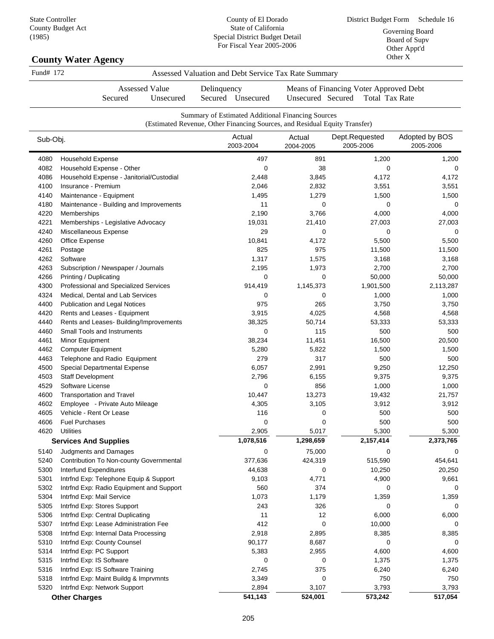### **County Water Agency**

| Fund# 172 | Assessed Valuation and Debt Service Tax Rate Summary |  |
|-----------|------------------------------------------------------|--|
|           |                                                      |  |

Secured Unsecured Delinquency Secured Unsecured

Assessed Value

Means of Financing Voter Approved Debt Unsecured Secured Total Tax Rate

|          |                                          | Summary of Estimated Additional Financing Sources<br>(Estimated Revenue, Other Financing Sources, and Residual Equity Transfer) |                     |                             |                             |
|----------|------------------------------------------|---------------------------------------------------------------------------------------------------------------------------------|---------------------|-----------------------------|-----------------------------|
| Sub-Obj. |                                          | Actual<br>2003-2004                                                                                                             | Actual<br>2004-2005 | Dept.Requested<br>2005-2006 | Adopted by BOS<br>2005-2006 |
| 4080     | <b>Household Expense</b>                 | 497                                                                                                                             | 891                 | 1,200                       | 1,200                       |
| 4082     | Household Expense - Other                | 0                                                                                                                               | 38                  | 0                           | 0                           |
| 4086     | Household Expense - Janitorial/Custodial | 2,448                                                                                                                           | 3,845               | 4,172                       | 4,172                       |
| 4100     | Insurance - Premium                      | 2,046                                                                                                                           | 2,832               | 3,551                       | 3,551                       |
| 4140     | Maintenance - Equipment                  | 1,495                                                                                                                           | 1,279               | 1,500                       | 1,500                       |
| 4180     | Maintenance - Building and Improvements  | 11                                                                                                                              | 0                   | 0                           | 0                           |
| 4220     | <b>Memberships</b>                       | 2,190                                                                                                                           | 3,766               | 4,000                       | 4,000                       |
| 4221     | Memberships - Legislative Advocacy       | 19,031                                                                                                                          | 21,410              | 27,003                      | 27,003                      |
| 4240     | Miscellaneous Expense                    | 29                                                                                                                              | 0                   | 0                           | 0                           |
| 4260     | Office Expense                           | 10,841                                                                                                                          | 4,172               | 5,500                       | 5,500                       |
| 4261     | Postage                                  | 825                                                                                                                             | 975                 | 11,500                      | 11,500                      |
| 4262     | Software                                 | 1,317                                                                                                                           | 1,575               | 3,168                       | 3,168                       |
| 4263     | Subscription / Newspaper / Journals      | 2,195                                                                                                                           | 1,973               | 2,700                       | 2,700                       |
| 4266     | Printing / Duplicating                   | 0                                                                                                                               | 0                   | 50,000                      | 50,000                      |
| 4300     | Professional and Specialized Services    | 914,419                                                                                                                         | 1,145,373           | 1,901,500                   | 2,113,287                   |
| 4324     | Medical, Dental and Lab Services         | 0                                                                                                                               | 0                   | 1,000                       | 1,000                       |
| 4400     | <b>Publication and Legal Notices</b>     | 975                                                                                                                             | 265                 | 3,750                       | 3,750                       |
| 4420     | Rents and Leases - Equipment             | 3,915                                                                                                                           | 4,025               | 4,568                       | 4,568                       |
| 4440     | Rents and Leases- Building/Improvements  | 38,325                                                                                                                          | 50,714              | 53,333                      | 53,333                      |
| 4460     | Small Tools and Instruments              | 0                                                                                                                               | 115                 | 500                         | 500                         |
| 4461     | Minor Equipment                          | 38,234                                                                                                                          | 11,451              | 16,500                      | 20,500                      |
| 4462     | <b>Computer Equipment</b>                | 5,280                                                                                                                           | 5,822               | 1,500                       | 1,500                       |
| 4463     | Telephone and Radio Equipment            | 279                                                                                                                             | 317                 | 500                         | 500                         |
| 4500     | Special Departmental Expense             | 6,057                                                                                                                           | 2,991               | 9,250                       | 12,250                      |
| 4503     | Staff Development                        | 2,796                                                                                                                           | 6,155               | 9,375                       | 9,375                       |
| 4529     | Software License                         | 0                                                                                                                               | 856                 | 1,000                       | 1,000                       |
| 4600     | <b>Transportation and Travel</b>         | 10,447                                                                                                                          | 13,273              | 19,432                      | 21,757                      |
| 4602     | Employee - Private Auto Mileage          | 4,305                                                                                                                           | 3,105               | 3,912                       | 3,912                       |
| 4605     | Vehicle - Rent Or Lease                  | 116                                                                                                                             | 0                   | 500                         | 500                         |
| 4606     | <b>Fuel Purchases</b>                    | 0                                                                                                                               | 0                   | 500                         | 500                         |
| 4620     | <b>Utilities</b>                         | 2,905                                                                                                                           | 5,017               | 5,300                       | 5,300                       |
|          | <b>Services And Supplies</b>             | 1,078,516                                                                                                                       | 1,298,659           | 2,157,414                   | 2,373,765                   |
| 5140     | Judgments and Damages                    | 0                                                                                                                               | 75,000              | 0                           | 0                           |
| 5240     | Contribution To Non-county Governmental  | 377,636                                                                                                                         | 424,319             | 515,590                     | 454,641                     |
| 5300     | Interfund Expenditures                   | 44,638                                                                                                                          | 0                   | 10,250                      | 20,250                      |
| 5301     | Intrfnd Exp: Telephone Equip & Support   | 9,103                                                                                                                           | 4,771               | 4,900                       | 9,661                       |
| 5302     | Intrfnd Exp: Radio Equipment and Support | 560                                                                                                                             | 374                 | 0                           | 0                           |
| 5304     | Intrfnd Exp: Mail Service                | 1,073                                                                                                                           | 1,179               | 1,359                       | 1,359                       |
| 5305     | Intrfnd Exp: Stores Support              | 243                                                                                                                             | 326                 | 0                           | 0                           |
| 5306     | Intrfnd Exp: Central Duplicating         | 11                                                                                                                              | 12                  | 6,000                       | 6,000                       |
| 5307     | Intrfnd Exp: Lease Administration Fee    | 412                                                                                                                             | 0                   | 10,000                      | $\Omega$                    |
| 5308     | Intrfnd Exp: Internal Data Processing    | 2,918                                                                                                                           | 2,895               | 8,385                       | 8,385                       |
| 5310     | Intrfnd Exp: County Counsel              | 90,177                                                                                                                          | 8,687               | 0                           | 0                           |
| 5314     | Intrfnd Exp: PC Support                  | 5,383                                                                                                                           | 2,955               | 4,600                       | 4,600                       |
| 5315     | Intrfnd Exp: IS Software                 | 0                                                                                                                               | 0                   | 1,375                       | 1,375                       |
| 5316     | Intrfnd Exp: IS Software Training        | 2,745                                                                                                                           | 375                 | 6,240                       | 6,240                       |
| 5318     | Intrfnd Exp: Maint Buildg & Imprvmnts    | 3,349                                                                                                                           | 0                   | 750                         | 750                         |
| 5320     | Intrfnd Exp: Network Support             | 2,894                                                                                                                           | 3,107               | 3,793                       | 3,793                       |
|          | <b>Other Charges</b>                     | 541,143                                                                                                                         | 524,001             | 573,242                     | 517,054                     |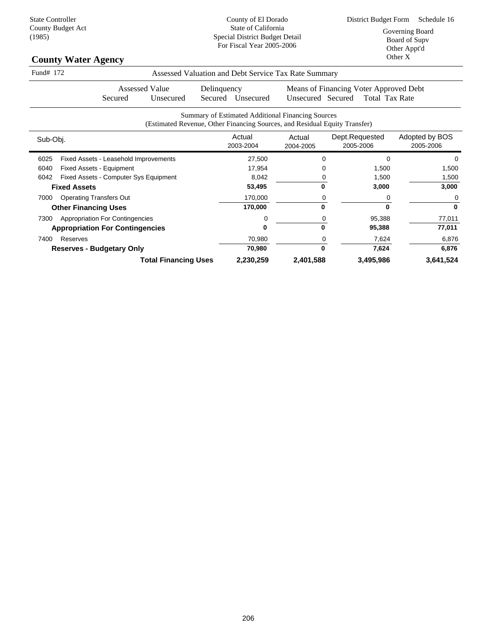| <b>County Water Agency</b>                     |                                                                            |                   |                                        | Other Appliu<br>Other X |
|------------------------------------------------|----------------------------------------------------------------------------|-------------------|----------------------------------------|-------------------------|
| Fund# 172                                      | Assessed Valuation and Debt Service Tax Rate Summary                       |                   |                                        |                         |
| <b>Assessed Value</b>                          | Delinquency                                                                |                   | Means of Financing Voter Approved Debt |                         |
| Unsecured<br>Secured                           | Unsecured<br>Secured                                                       | Unsecured Secured | Total Tax Rate                         |                         |
|                                                | <b>Summary of Estimated Additional Financing Sources</b>                   |                   |                                        |                         |
|                                                | (Estimated Revenue, Other Financing Sources, and Residual Equity Transfer) |                   |                                        |                         |
| Sub-Obj.                                       | Actual                                                                     | Actual            | Dept.Requested                         | Adopted by BOS          |
|                                                | 2003-2004                                                                  | 2004-2005         | 2005-2006                              | 2005-2006               |
| 6025<br>Fixed Assets - Leasehold Improvements  | 27,500                                                                     | O                 | $\Omega$                               | 0                       |
| Fixed Assets - Equipment<br>6040               | 17,954                                                                     |                   | 1,500                                  | 1,500                   |
| 6042<br>Fixed Assets - Computer Sys Equipment  | 8,042                                                                      |                   | 1,500                                  | 1,500                   |
| <b>Fixed Assets</b>                            | 53,495                                                                     | 0                 | 3,000                                  | 3,000                   |
| <b>Operating Transfers Out</b><br>7000         | 170,000                                                                    | 0                 | 0                                      | 0                       |
| <b>Other Financing Uses</b>                    | 170,000                                                                    | 0                 | $\bf{0}$                               | $\mathbf 0$             |
| <b>Appropriation For Contingencies</b><br>7300 | 0                                                                          | 0                 | 95,388                                 | 77,011                  |
| <b>Appropriation For Contingencies</b>         | 0                                                                          | 0                 | 95,388                                 | 77,011                  |
| Reserves<br>7400                               | 70,980                                                                     | 0                 | 7,624                                  | 6,876                   |
| <b>Reserves - Budgetary Only</b>               | 70,980                                                                     | $\bf{0}$          | 7,624                                  | 6,876                   |
| <b>Total Financing Uses</b>                    | 2,230,259                                                                  | 2,401,588         | 3,495,986                              | 3,641,524               |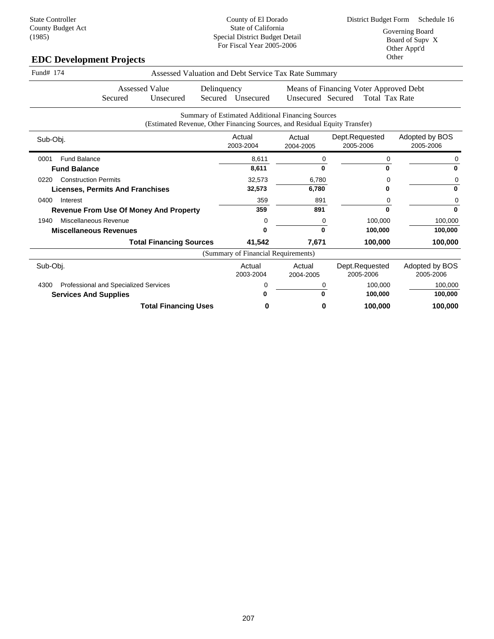# **EDC Development Projects**

| Fund# 174                           |                                         |                                                                            |                        |                                     | Assessed Valuation and Debt Service Tax Rate Summary |                                                                 |                             |
|-------------------------------------|-----------------------------------------|----------------------------------------------------------------------------|------------------------|-------------------------------------|------------------------------------------------------|-----------------------------------------------------------------|-----------------------------|
|                                     | Secured                                 | <b>Assessed Value</b><br>Unsecured                                         | Delinquency<br>Secured | Unsecured                           | Unsecured Secured                                    | Means of Financing Voter Approved Debt<br><b>Total Tax Rate</b> |                             |
|                                     |                                         | (Estimated Revenue, Other Financing Sources, and Residual Equity Transfer) |                        |                                     | Summary of Estimated Additional Financing Sources    |                                                                 |                             |
| Sub-Obj.                            |                                         |                                                                            |                        | Actual<br>2003-2004                 | Actual<br>2004-2005                                  | Dept.Requested<br>2005-2006                                     | Adopted by BOS<br>2005-2006 |
| <b>Fund Balance</b><br>0001         |                                         |                                                                            |                        | 8,611                               | 0                                                    | 0                                                               | 0                           |
| <b>Fund Balance</b>                 |                                         |                                                                            |                        | 8,611                               | U                                                    |                                                                 | $\Omega$                    |
| <b>Construction Permits</b><br>0220 |                                         |                                                                            |                        | 32,573                              | 6,780                                                |                                                                 | 0                           |
|                                     | <b>Licenses, Permits And Franchises</b> |                                                                            |                        | 32,573                              | 6,780                                                |                                                                 | $\bf{0}$                    |
| 0400<br>Interest                    |                                         |                                                                            |                        | 359                                 | 891                                                  |                                                                 | 0                           |
|                                     |                                         | <b>Revenue From Use Of Money And Property</b>                              |                        | 359                                 | 891                                                  | ŋ                                                               | $\Omega$                    |
| 1940                                | Miscellaneous Revenue                   |                                                                            |                        | 0                                   | 0                                                    | 100,000                                                         | 100,000                     |
| <b>Miscellaneous Revenues</b>       |                                         |                                                                            |                        |                                     | O                                                    | 100,000                                                         | 100,000                     |
|                                     |                                         | <b>Total Financing Sources</b>                                             |                        | 41,542                              | 7,671                                                | 100,000                                                         | 100,000                     |
|                                     |                                         |                                                                            |                        | (Summary of Financial Requirements) |                                                      |                                                                 |                             |
| Sub-Obj.                            |                                         |                                                                            |                        | Actual<br>2003-2004                 | Actual<br>2004-2005                                  | Dept.Requested<br>2005-2006                                     | Adopted by BOS<br>2005-2006 |
| 4300                                | Professional and Specialized Services   |                                                                            |                        |                                     |                                                      | 100.000                                                         | 100,000                     |
| <b>Services And Supplies</b>        |                                         |                                                                            |                        |                                     |                                                      | 100,000                                                         | 100,000                     |
|                                     |                                         | <b>Total Financing Uses</b>                                                |                        | o                                   | O                                                    | 100,000                                                         | 100,000                     |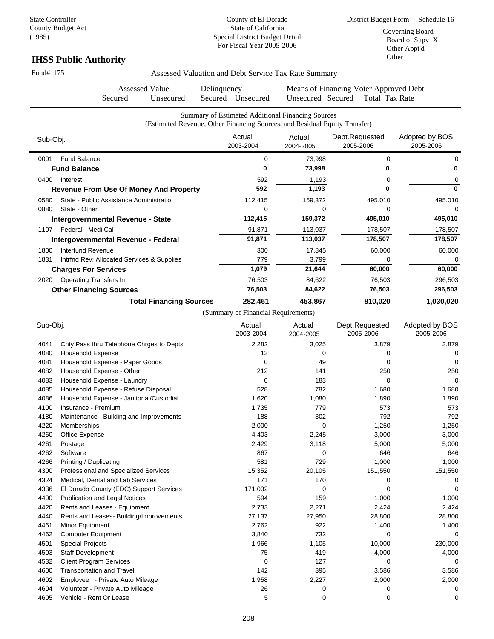# **IHSS Public Authority**

| Fund# 175    |                                                                 |             |                                     | Assessed Valuation and Debt Service Tax Rate Summary                                                                            |                                                                 |                             |
|--------------|-----------------------------------------------------------------|-------------|-------------------------------------|---------------------------------------------------------------------------------------------------------------------------------|-----------------------------------------------------------------|-----------------------------|
|              | <b>Assessed Value</b><br>Secured<br>Unsecured                   | Delinquency | Secured Unsecured                   | Unsecured Secured                                                                                                               | Means of Financing Voter Approved Debt<br><b>Total Tax Rate</b> |                             |
|              |                                                                 |             |                                     | Summary of Estimated Additional Financing Sources<br>(Estimated Revenue, Other Financing Sources, and Residual Equity Transfer) |                                                                 |                             |
| Sub-Obj.     |                                                                 |             | Actual<br>2003-2004                 | Actual<br>2004-2005                                                                                                             | Dept.Requested<br>2005-2006                                     | Adopted by BOS<br>2005-2006 |
| 0001         | <b>Fund Balance</b>                                             |             | 0                                   | 73,998                                                                                                                          | 0                                                               | 0                           |
|              | <b>Fund Balance</b>                                             |             | $\mathbf{0}$                        | 73,998                                                                                                                          | 0                                                               | $\mathbf{0}$                |
| 0400         | Interest                                                        |             | 592                                 | 1,193                                                                                                                           | 0                                                               | 0                           |
|              | <b>Revenue From Use Of Money And Property</b>                   |             | 592                                 | 1,193                                                                                                                           | 0                                                               | $\mathbf 0$                 |
| 0580         | State - Public Assistance Administratio                         |             | 112,415                             | 159,372                                                                                                                         | 495,010                                                         | 495,010                     |
| 0880         | State - Other                                                   |             | $\mathbf 0$                         | $\mathbf 0$                                                                                                                     | 0                                                               | 0                           |
|              | Intergovernmental Revenue - State                               |             | 112,415                             | 159,372                                                                                                                         | 495,010                                                         | 495,010                     |
| 1107         | Federal - Medi Cal                                              |             | 91,871                              | 113,037                                                                                                                         | 178,507                                                         | 178,507                     |
|              | Intergovernmental Revenue - Federal                             |             | 91,871                              | 113,037                                                                                                                         | 178,507                                                         | 178,507                     |
| 1800         | Interfund Revenue                                               |             | 300                                 | 17,845                                                                                                                          | 60,000                                                          | 60,000                      |
| 1831         | Intrfnd Rev: Allocated Services & Supplies                      |             | 779                                 | 3,799                                                                                                                           | 0                                                               | 0                           |
|              | <b>Charges For Services</b>                                     |             | 1,079                               | 21,644                                                                                                                          | 60,000                                                          | 60,000                      |
| 2020         | <b>Operating Transfers In</b>                                   |             | 76,503                              | 84,622                                                                                                                          | 76,503                                                          | 296,503                     |
|              | <b>Other Financing Sources</b>                                  |             | 76,503                              | 84,622                                                                                                                          | 76,503                                                          | 296,503                     |
|              | <b>Total Financing Sources</b>                                  |             | 282,461                             | 453,867                                                                                                                         | 810,020                                                         | 1,030,020                   |
|              |                                                                 |             | (Summary of Financial Requirements) |                                                                                                                                 |                                                                 |                             |
| Sub-Obj.     |                                                                 |             | Actual<br>2003-2004                 | Actual<br>2004-2005                                                                                                             | Dept.Requested<br>2005-2006                                     | Adopted by BOS<br>2005-2006 |
| 4041         | Cnty Pass thru Telephone Chrges to Depts                        |             | 2,282                               | 3,025                                                                                                                           | 3,879                                                           | 3,879                       |
| 4080         | <b>Household Expense</b>                                        |             | 13                                  | 0                                                                                                                               | 0                                                               | 0                           |
| 4081         | Household Expense - Paper Goods                                 |             | $\mathbf 0$                         | 49                                                                                                                              | 0                                                               | $\Omega$                    |
| 4082         | Household Expense - Other                                       |             | 212                                 | 141                                                                                                                             | 250                                                             | 250                         |
| 4083         | Household Expense - Laundry                                     |             | $\mathbf 0$                         | 183                                                                                                                             | 0                                                               | $\Omega$                    |
| 4085         | Household Expense - Refuse Disposal                             |             | 528                                 | 782                                                                                                                             | 1,680                                                           | 1,680                       |
| 4086         | Household Expense - Janitorial/Custodial<br>Insurance - Premium |             | 1,620                               | 1,080<br>779                                                                                                                    | 1,890<br>573                                                    | 1,890                       |
| 4100<br>4180 | Maintenance - Building and Improvements                         |             | 1,735<br>188                        | 302                                                                                                                             | 792                                                             | 573<br>792                  |
| 4220         | Memberships                                                     |             | 2,000                               | 0                                                                                                                               | 1,250                                                           | 1,250                       |
| 4260         | Office Expense                                                  |             | 4,403                               | 2,245                                                                                                                           | 3,000                                                           | 3,000                       |

| 4180 | Maintenance - Building and Improvements | 188      | 302      | 792     | 792      |
|------|-----------------------------------------|----------|----------|---------|----------|
| 4220 | Memberships                             | 2,000    | 0        | 1,250   | 1,250    |
| 4260 | Office Expense                          | 4,403    | 2,245    | 3,000   | 3,000    |
| 4261 | Postage                                 | 2,429    | 3,118    | 5,000   | 5,000    |
| 4262 | Software                                | 867      | $\Omega$ | 646     | 646      |
| 4266 | Printing / Duplicating                  | 581      | 729      | 1,000   | 1,000    |
| 4300 | Professional and Specialized Services   | 15,352   | 20,105   | 151,550 | 151,550  |
| 4324 | Medical, Dental and Lab Services        | 171      | 170      |         | 0        |
| 4336 | El Dorado County (EDC) Support Services | 171,032  | 0        |         | 0        |
| 4400 | Publication and Legal Notices           | 594      | 159      | 1,000   | 1,000    |
| 4420 | Rents and Leases - Equipment            | 2,733    | 2,271    | 2,424   | 2,424    |
| 4440 | Rents and Leases- Building/Improvements | 27,137   | 27,950   | 28,800  | 28,800   |
| 4461 | Minor Equipment                         | 2,762    | 922      | 1,400   | 1,400    |
| 4462 | <b>Computer Equipment</b>               | 3,840    | 732      |         | $\Omega$ |
| 4501 | <b>Special Projects</b>                 | 1,966    | 1,105    | 10,000  | 230,000  |
| 4503 | Staff Development                       | 75       | 419      | 4,000   | 4,000    |
| 4532 | <b>Client Program Services</b>          | $\Omega$ | 127      | 0       | 0        |
| 4600 | <b>Transportation and Travel</b>        | 142      | 395      | 3,586   | 3,586    |
| 4602 | Employee - Private Auto Mileage         | 1,958    | 2,227    | 2,000   | 2,000    |
| 4604 | Volunteer - Private Auto Mileage        | 26       |          |         | 0        |
| 4605 | Vehicle - Rent Or Lease                 | 5        | 0        |         | 0        |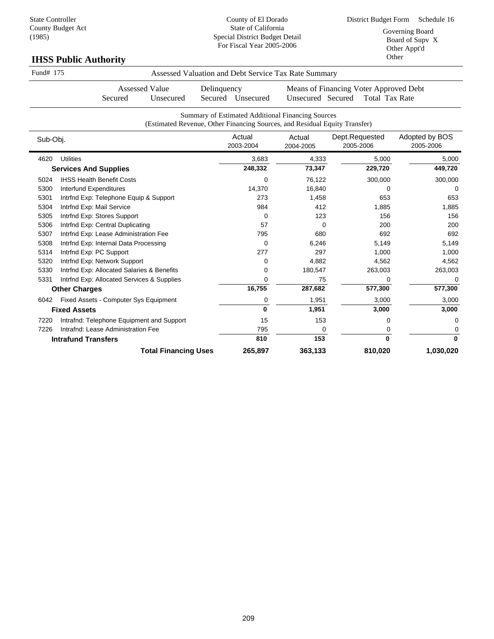County of El Dorado State of California Special District Budget Detail

| 12007     | <b>IHSS Public Authority</b>               | cenar Bhotrice Budget Betan<br>For Fiscal Year 2005-2006                                                                        |                     |                                        | Board of Supy X<br>Other Appt'd<br>Other |
|-----------|--------------------------------------------|---------------------------------------------------------------------------------------------------------------------------------|---------------------|----------------------------------------|------------------------------------------|
| Fund# 175 |                                            | Assessed Valuation and Debt Service Tax Rate Summary                                                                            |                     |                                        |                                          |
|           | <b>Assessed Value</b>                      | Delinquency                                                                                                                     |                     | Means of Financing Voter Approved Debt |                                          |
|           | Secured<br>Unsecured                       | Secured Unsecured                                                                                                               | Unsecured Secured   | <b>Total Tax Rate</b>                  |                                          |
|           |                                            | Summary of Estimated Additional Financing Sources<br>(Estimated Revenue, Other Financing Sources, and Residual Equity Transfer) |                     |                                        |                                          |
| Sub-Obj.  |                                            | Actual<br>2003-2004                                                                                                             | Actual<br>2004-2005 | Dept.Requested<br>2005-2006            | Adopted by BOS<br>2005-2006              |
| 4620      | <b>Utilities</b>                           | 3,683                                                                                                                           | 4,333               | 5,000                                  | 5,000                                    |
|           | <b>Services And Supplies</b>               | 248,332                                                                                                                         | 73,347              | 229,720                                | 449,720                                  |
| 5024      | <b>IHSS Health Benefit Costs</b>           | 0                                                                                                                               | 76,122              | 300,000                                | 300,000                                  |
| 5300      | Interfund Expenditures                     | 14,370                                                                                                                          | 16,840              | 0                                      | $\Omega$                                 |
| 5301      | Intrfnd Exp: Telephone Equip & Support     | 273                                                                                                                             | 1,458               | 653                                    | 653                                      |
| 5304      | Intrfnd Exp: Mail Service                  | 984                                                                                                                             | 412                 | 1,885                                  | 1,885                                    |
| 5305      | Intrfnd Exp: Stores Support                | 0                                                                                                                               | 123                 | 156                                    | 156                                      |
| 5306      | Intrfnd Exp: Central Duplicating           | 57                                                                                                                              | $\Omega$            | 200                                    | 200                                      |
| 5307      | Intrfnd Exp: Lease Administration Fee      | 795                                                                                                                             | 680                 | 692                                    | 692                                      |
| 5308      | Intrfnd Exp: Internal Data Processing      | 0                                                                                                                               | 6,246               | 5,149                                  | 5,149                                    |
| 5314      | Intrfnd Exp: PC Support                    | 277                                                                                                                             | 297                 | 1,000                                  | 1,000                                    |
| 5320      | Intrfnd Exp: Network Support               | 0                                                                                                                               | 4,882               | 4,562                                  | 4,562                                    |
| 5330      | Intrfnd Exp: Allocated Salaries & Benefits | 0                                                                                                                               | 180,547             | 263,003                                | 263,003                                  |
| 5331      | Intrfnd Exp: Allocated Services & Supplies | 0                                                                                                                               | 75                  | $\Omega$                               | 0                                        |
|           | <b>Other Charges</b>                       | 16,755                                                                                                                          | 287,682             | 577,300                                | 577,300                                  |
| 6042      | Fixed Assets - Computer Sys Equipment      | 0                                                                                                                               | 1,951               | 3,000                                  | 3,000                                    |
|           | <b>Fixed Assets</b>                        | $\mathbf{0}$                                                                                                                    | 1,951               | 3,000                                  | 3,000                                    |
| 7220      | Intrafnd: Telephone Equipment and Support  | 15                                                                                                                              | 153                 | 0                                      | 0                                        |
| 7226      | Intrafnd: Lease Administration Fee         | 795                                                                                                                             | 0                   | 0                                      | 0                                        |
|           | <b>Intrafund Transfers</b>                 | 810                                                                                                                             | 153                 | $\mathbf{0}$                           | 0                                        |

**Total Financing Uses 265,897 363,133 810,020 1,030,020**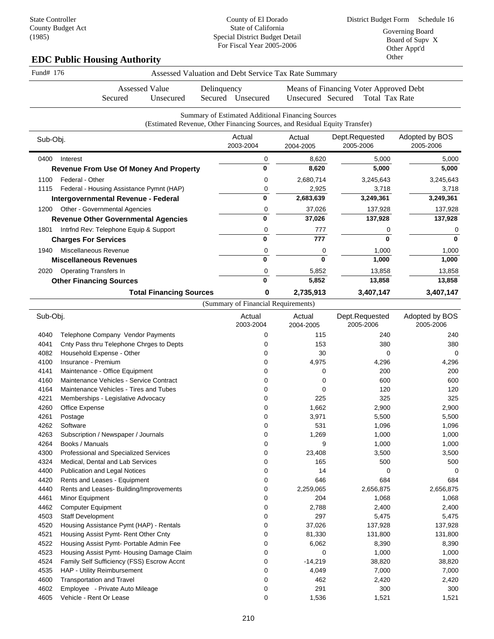# **EDC Public Housing Authority**

| Fund# 176 |                                               | Assessed Valuation and Debt Service Tax Rate Summary |             |                                     |                                                                                                                                 |                                                          |                             |  |
|-----------|-----------------------------------------------|------------------------------------------------------|-------------|-------------------------------------|---------------------------------------------------------------------------------------------------------------------------------|----------------------------------------------------------|-----------------------------|--|
|           | Secured                                       | <b>Assessed Value</b><br>Unsecured                   | Delinquency | Secured Unsecured                   | Unsecured Secured                                                                                                               | Means of Financing Voter Approved Debt<br>Total Tax Rate |                             |  |
|           |                                               |                                                      |             |                                     |                                                                                                                                 |                                                          |                             |  |
|           |                                               |                                                      |             |                                     | Summary of Estimated Additional Financing Sources<br>(Estimated Revenue, Other Financing Sources, and Residual Equity Transfer) |                                                          |                             |  |
| Sub-Obj.  |                                               |                                                      |             | Actual<br>2003-2004                 | Actual<br>2004-2005                                                                                                             | Dept.Requested<br>2005-2006                              | Adopted by BOS<br>2005-2006 |  |
| 0400      | Interest                                      |                                                      |             | 0                                   | 8,620                                                                                                                           | 5,000                                                    | 5,000                       |  |
|           | <b>Revenue From Use Of Money And Property</b> |                                                      |             | 0                                   | 8,620                                                                                                                           | 5,000                                                    | 5,000                       |  |
| 1100      | Federal - Other                               |                                                      |             | 0                                   | 2,680,714                                                                                                                       | 3,245,643                                                | 3,245,643                   |  |
| 1115      | Federal - Housing Assistance Pymnt (HAP)      |                                                      |             | 0                                   | 2,925                                                                                                                           | 3,718                                                    | 3,718                       |  |
|           | Intergovernmental Revenue - Federal           |                                                      |             | 0                                   | 2,683,639                                                                                                                       | 3,249,361                                                | 3,249,361                   |  |
| 1200      | Other - Governmental Agencies                 |                                                      |             | 0                                   | 37,026                                                                                                                          | 137,928                                                  | 137,928                     |  |
|           | <b>Revenue Other Governmental Agencies</b>    |                                                      |             | 0                                   | 37,026                                                                                                                          | 137,928                                                  | 137,928                     |  |
| 1801      | Intrfnd Rev: Telephone Equip & Support        |                                                      |             | 0                                   | 777                                                                                                                             | 0                                                        | 0                           |  |
|           | <b>Charges For Services</b>                   |                                                      |             | $\bf{0}$                            | 777                                                                                                                             | $\bf{0}$                                                 | $\bf{0}$                    |  |
| 1940      | Miscellaneous Revenue                         |                                                      |             | 0                                   | 0                                                                                                                               | 1,000                                                    | 1,000                       |  |
|           | <b>Miscellaneous Revenues</b>                 |                                                      |             | $\bf{0}$                            | $\bf{0}$                                                                                                                        | 1,000                                                    | 1,000                       |  |
| 2020      | <b>Operating Transfers In</b>                 |                                                      |             | 0                                   | 5,852                                                                                                                           | 13,858                                                   | 13,858                      |  |
|           | <b>Other Financing Sources</b>                |                                                      |             | 0                                   | 5,852                                                                                                                           | 13,858                                                   | 13,858                      |  |
|           | <b>Total Financing Sources</b>                |                                                      |             | 0                                   | 2,735,913                                                                                                                       | 3,407,147                                                | 3,407,147                   |  |
|           |                                               |                                                      |             | (Summary of Financial Requirements) |                                                                                                                                 |                                                          |                             |  |
| Sub-Obj.  |                                               |                                                      |             | Actual<br>2003-2004                 | Actual<br>2004-2005                                                                                                             | Dept.Requested<br>2005-2006                              | Adopted by BOS<br>2005-2006 |  |
| 4040      | Telephone Company Vendor Payments             |                                                      |             | 0                                   | 115                                                                                                                             | 240                                                      | 240                         |  |
| 4041      | Cnty Pass thru Telephone Chrges to Depts      |                                                      |             | 0                                   | 153                                                                                                                             | 380                                                      | 380                         |  |
| 4082      | Household Expense - Other                     |                                                      |             | 0                                   | 30                                                                                                                              | 0                                                        | $\mathbf 0$                 |  |
|           |                                               |                                                      |             |                                     |                                                                                                                                 |                                                          |                             |  |

| 4041 | Cnty Pass thru Telephone Chrges to Depts   | 0 | 153       | 380       | 380       |
|------|--------------------------------------------|---|-----------|-----------|-----------|
| 4082 | Household Expense - Other                  | 0 | 30        | 0         | 0         |
| 4100 | Insurance - Premium                        | 0 | 4,975     | 4,296     | 4,296     |
| 4141 | Maintenance - Office Equipment             | O | 0         | 200       | 200       |
| 4160 | Maintenance Vehicles - Service Contract    | 0 | 0         | 600       | 600       |
| 4164 | Maintenance Vehicles - Tires and Tubes     | 0 | 0         | 120       | 120       |
| 4221 | Memberships - Legislative Advocacy         | 0 | 225       | 325       | 325       |
| 4260 | Office Expense                             | 0 | 1,662     | 2,900     | 2,900     |
| 4261 | Postage                                    | 0 | 3,971     | 5,500     | 5,500     |
| 4262 | Software                                   | 0 | 531       | 1,096     | 1,096     |
| 4263 | Subscription / Newspaper / Journals        | 0 | 1,269     | 1,000     | 1,000     |
| 4264 | Books / Manuals                            | 0 | 9         | 1,000     | 1,000     |
| 4300 | Professional and Specialized Services      | 0 | 23,408    | 3,500     | 3,500     |
| 4324 | Medical, Dental and Lab Services           | 0 | 165       | 500       | 500       |
| 4400 | <b>Publication and Legal Notices</b>       | 0 | 14        | 0         | ∩         |
| 4420 | Rents and Leases - Equipment               | 0 | 646       | 684       | 684       |
| 4440 | Rents and Leases- Building/Improvements    | 0 | 2,259,065 | 2,656,875 | 2,656,875 |
| 4461 | Minor Equipment                            | 0 | 204       | 1,068     | 1,068     |
| 4462 | <b>Computer Equipment</b>                  | 0 | 2,788     | 2,400     | 2,400     |
| 4503 | <b>Staff Development</b>                   | 0 | 297       | 5,475     | 5,475     |
| 4520 | Housing Assistance Pymt (HAP) - Rentals    | 0 | 37,026    | 137,928   | 137,928   |
| 4521 | Housing Assist Pymt- Rent Other Cnty       | 0 | 81,330    | 131,800   | 131,800   |
| 4522 | Housing Assist Pymt- Portable Admin Fee    | 0 | 6,062     | 8,390     | 8,390     |
| 4523 | Housing Assist Pymt- Housing Damage Claim  | 0 | $\Omega$  | 1,000     | 1,000     |
| 4524 | Family Self Sufficiency (FSS) Escrow Accnt | 0 | $-14,219$ | 38,820    | 38,820    |
| 4535 | HAP - Utility Reimbursement                |   | 4,049     | 7,000     | 7,000     |
| 4600 | <b>Transportation and Travel</b>           |   | 462       | 2,420     | 2,420     |
| 4602 | Employee - Private Auto Mileage            | 0 | 291       | 300       | 300       |
| 4605 | Vehicle - Rent Or Lease                    | 0 | 1,536     | 1,521     | 1,521     |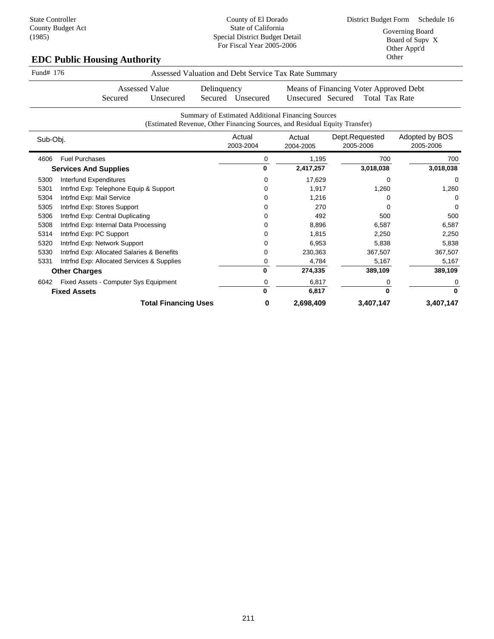# **EDC Public Housing Authority**

| Fund# 176            |                                                          | Assessed Valuation and Debt Service Tax Rate Summary                       |   |                     |                                        |                             |  |  |  |  |  |
|----------------------|----------------------------------------------------------|----------------------------------------------------------------------------|---|---------------------|----------------------------------------|-----------------------------|--|--|--|--|--|
|                      | <b>Assessed Value</b>                                    | Delinquency                                                                |   |                     | Means of Financing Voter Approved Debt |                             |  |  |  |  |  |
|                      | Unsecured<br>Secured                                     | Secured Unsecured                                                          |   | Unsecured Secured   | <b>Total Tax Rate</b>                  |                             |  |  |  |  |  |
|                      | <b>Summary of Estimated Additional Financing Sources</b> |                                                                            |   |                     |                                        |                             |  |  |  |  |  |
|                      |                                                          | (Estimated Revenue, Other Financing Sources, and Residual Equity Transfer) |   |                     |                                        |                             |  |  |  |  |  |
| Sub-Obj.             |                                                          | Actual<br>2003-2004                                                        |   | Actual<br>2004-2005 | Dept.Requested<br>2005-2006            | Adopted by BOS<br>2005-2006 |  |  |  |  |  |
| 4606                 | <b>Fuel Purchases</b>                                    |                                                                            | 0 | 1,195               | 700                                    | 700                         |  |  |  |  |  |
|                      | <b>Services And Supplies</b>                             |                                                                            | 0 | 2,417,257           | 3,018,038                              | 3,018,038                   |  |  |  |  |  |
| 5300                 | Interfund Expenditures                                   |                                                                            | 0 | 17,629              | 0                                      | 0                           |  |  |  |  |  |
| 5301                 | Intrfnd Exp: Telephone Equip & Support                   |                                                                            | 0 | 1,917               | 1,260                                  | 1,260                       |  |  |  |  |  |
| 5304                 | Intrfnd Exp: Mail Service                                |                                                                            | Ω | 1,216               | 0                                      | $\Omega$                    |  |  |  |  |  |
| 5305                 | Intrfnd Exp: Stores Support                              |                                                                            | 0 | 270                 | 0                                      | $\Omega$                    |  |  |  |  |  |
| 5306                 | Intrfnd Exp: Central Duplicating                         |                                                                            | 0 | 492                 | 500                                    | 500                         |  |  |  |  |  |
| 5308                 | Intrfnd Exp: Internal Data Processing                    |                                                                            | 0 | 8,896               | 6,587                                  | 6,587                       |  |  |  |  |  |
| 5314                 | Intrfnd Exp: PC Support                                  |                                                                            | 0 | 1,815               | 2,250                                  | 2,250                       |  |  |  |  |  |
| 5320                 | Intrfnd Exp: Network Support                             |                                                                            | 0 | 6,953               | 5,838                                  | 5,838                       |  |  |  |  |  |
| 5330                 | Intrfnd Exp: Allocated Salaries & Benefits               |                                                                            | 0 | 230,363             | 367,507                                | 367,507                     |  |  |  |  |  |
| 5331                 | Intrind Exp: Allocated Services & Supplies               |                                                                            | 0 | 4,784               | 5,167                                  | 5,167                       |  |  |  |  |  |
| <b>Other Charges</b> |                                                          |                                                                            | 0 | 274,335             | 389,109                                | 389,109                     |  |  |  |  |  |
| 6042                 | Fixed Assets - Computer Sys Equipment                    |                                                                            | 0 | 6,817               | 0                                      | 0                           |  |  |  |  |  |
| <b>Fixed Assets</b>  |                                                          |                                                                            | 0 | 6,817               | $\bf{0}$                               | $\bf{0}$                    |  |  |  |  |  |
|                      | <b>Total Financing Uses</b>                              |                                                                            | 0 | 2,698,409           | 3,407,147                              | 3,407,147                   |  |  |  |  |  |